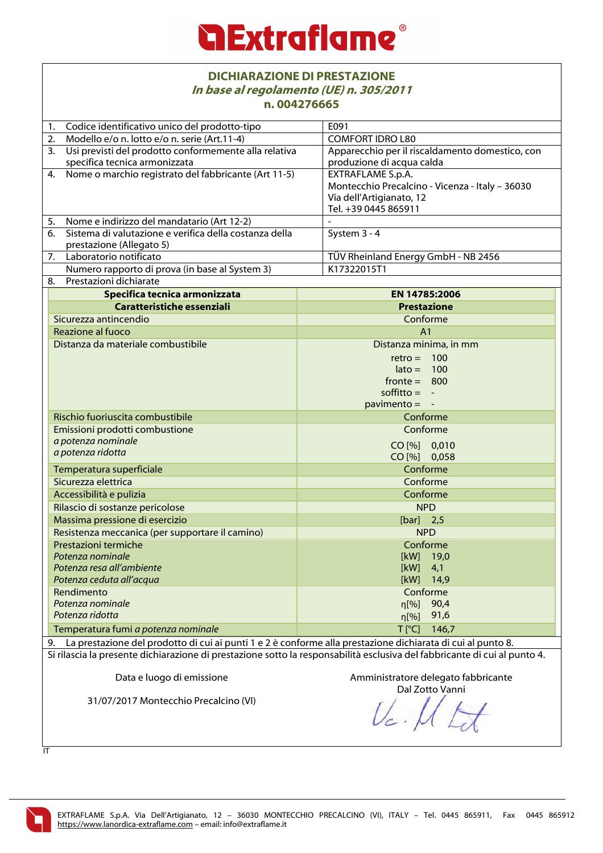| <b>DICHIARAZIONE DI PRESTAZIONE</b><br>In base al regolamento (UE) n. 305/2011<br>n.004276665                             |                                                        |                                                 |  |  |
|---------------------------------------------------------------------------------------------------------------------------|--------------------------------------------------------|-------------------------------------------------|--|--|
| 1.                                                                                                                        | Codice identificativo unico del prodotto-tipo          | E091                                            |  |  |
| 2.                                                                                                                        | Modello e/o n. lotto e/o n. serie (Art.11-4)           | <b>COMFORT IDRO L80</b>                         |  |  |
| $\overline{3}$ .                                                                                                          | Usi previsti del prodotto conformemente alla relativa  | Apparecchio per il riscaldamento domestico, con |  |  |
|                                                                                                                           | specifica tecnica armonizzata                          | produzione di acqua calda                       |  |  |
| 4.                                                                                                                        | Nome o marchio registrato del fabbricante (Art 11-5)   | EXTRAFLAME S.p.A.                               |  |  |
|                                                                                                                           |                                                        | Montecchio Precalcino - Vicenza - Italy - 36030 |  |  |
|                                                                                                                           |                                                        | Via dell'Artigianato, 12                        |  |  |
|                                                                                                                           |                                                        | Tel. +39 0445 865911                            |  |  |
| 5.                                                                                                                        | Nome e indirizzo del mandatario (Art 12-2)             |                                                 |  |  |
| 6.                                                                                                                        | Sistema di valutazione e verifica della costanza della | System 3 - 4                                    |  |  |
|                                                                                                                           | prestazione (Allegato 5)                               |                                                 |  |  |
| 7.                                                                                                                        | Laboratorio notificato                                 | TÜV Rheinland Energy GmbH - NB 2456             |  |  |
|                                                                                                                           | Numero rapporto di prova (in base al System 3)         | K17322015T1                                     |  |  |
| 8.                                                                                                                        | Prestazioni dichiarate                                 |                                                 |  |  |
|                                                                                                                           | Specifica tecnica armonizzata                          | EN 14785:2006                                   |  |  |
|                                                                                                                           | Caratteristiche essenziali                             | <b>Prestazione</b>                              |  |  |
|                                                                                                                           | Sicurezza antincendio                                  | Conforme                                        |  |  |
|                                                                                                                           | Reazione al fuoco                                      | A <sub>1</sub>                                  |  |  |
|                                                                                                                           | Distanza da materiale combustibile                     | Distanza minima, in mm                          |  |  |
|                                                                                                                           |                                                        | $retro = 100$                                   |  |  |
|                                                                                                                           |                                                        | $\text{late} = 100$                             |  |  |
|                                                                                                                           |                                                        | $fronte = 800$                                  |  |  |
|                                                                                                                           |                                                        | soffitto $= -$                                  |  |  |
|                                                                                                                           |                                                        | $\text{pavimento} = -$                          |  |  |
| Rischio fuoriuscita combustibile                                                                                          |                                                        | Conforme                                        |  |  |
|                                                                                                                           | Emissioni prodotti combustione                         | Conforme                                        |  |  |
|                                                                                                                           | a potenza nominale                                     | CO [%] 0,010                                    |  |  |
| a potenza ridotta                                                                                                         |                                                        | CO [%] 0,058                                    |  |  |
| Temperatura superficiale                                                                                                  |                                                        | Conforme                                        |  |  |
| Sicurezza elettrica                                                                                                       |                                                        | Conforme                                        |  |  |
|                                                                                                                           | Accessibilità e pulizia                                | Conforme                                        |  |  |
|                                                                                                                           | Rilascio di sostanze pericolose                        | <b>NPD</b>                                      |  |  |
|                                                                                                                           | Massima pressione di esercizio                         | $[bar]$ 2,5                                     |  |  |
|                                                                                                                           | Resistenza meccanica (per supportare il camino)        | <b>NPD</b>                                      |  |  |
|                                                                                                                           | Prestazioni termiche                                   | Conforme                                        |  |  |
|                                                                                                                           | Potenza nominale                                       | [kW]<br>19,0                                    |  |  |
|                                                                                                                           | Potenza resa all'ambiente                              | [kW]<br>4,1<br>[kW]<br>14,9                     |  |  |
|                                                                                                                           | Potenza ceduta all'acqua<br>Rendimento                 | Conforme                                        |  |  |
|                                                                                                                           | Potenza nominale                                       | 90,4<br>$\eta$ [%]                              |  |  |
|                                                                                                                           | Potenza ridotta                                        | 91,6<br>$\eta$ [%]                              |  |  |
|                                                                                                                           |                                                        | $T$ [ $^{\circ}$ C]<br>146,7                    |  |  |
|                                                                                                                           | Temperatura fumi a potenza nominale                    |                                                 |  |  |
| La prestazione del prodotto di cui ai punti 1 e 2 è conforme alla prestazione dichiarata di cui al punto 8.<br>9.         |                                                        |                                                 |  |  |
| Si rilascia la presente dichiarazione di prestazione sotto la responsabilità esclusiva del fabbricante di cui al punto 4. |                                                        |                                                 |  |  |
|                                                                                                                           | Data e luogo di emissione                              | Amministratore delegato fabbricante             |  |  |
|                                                                                                                           |                                                        | Dal Zotto Vanni                                 |  |  |
| 31/07/2017 Montecchio Precalcino (VI)                                                                                     |                                                        |                                                 |  |  |
|                                                                                                                           |                                                        |                                                 |  |  |

IT

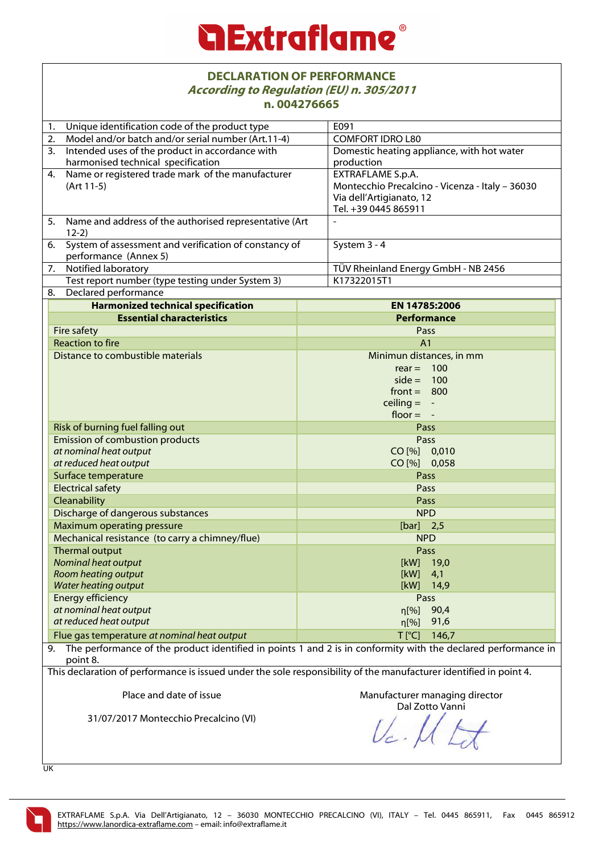# *<u>a Extraflame®</u>*

#### **DECLARATION OF PERFORMANCE According to Regulation (EU) n. 305/2011 n. 004276665**

|                                                                                                                    | VVTE/VVVJ                                                                                                     |  |  |
|--------------------------------------------------------------------------------------------------------------------|---------------------------------------------------------------------------------------------------------------|--|--|
| Unique identification code of the product type<br>1.                                                               | E091                                                                                                          |  |  |
| Model and/or batch and/or serial number (Art.11-4)<br>2.                                                           | <b>COMFORT IDRO L80</b>                                                                                       |  |  |
| 3. Intended uses of the product in accordance with                                                                 | Domestic heating appliance, with hot water                                                                    |  |  |
| harmonised technical specification                                                                                 | production                                                                                                    |  |  |
| 4. Name or registered trade mark of the manufacturer                                                               | EXTRAFLAME S.p.A.                                                                                             |  |  |
| (Art 11-5)                                                                                                         | Montecchio Precalcino - Vicenza - Italy - 36030                                                               |  |  |
|                                                                                                                    | Via dell'Artigianato, 12                                                                                      |  |  |
|                                                                                                                    | Tel. +39 0445 865911                                                                                          |  |  |
| 5. Name and address of the authorised representative (Art<br>$12-2)$                                               |                                                                                                               |  |  |
| 6. System of assessment and verification of constancy of<br>performance (Annex 5)                                  | System 3 - 4                                                                                                  |  |  |
| 7.<br>Notified laboratory                                                                                          | TÜV Rheinland Energy GmbH - NB 2456                                                                           |  |  |
| Test report number (type testing under System 3)                                                                   | K17322015T1                                                                                                   |  |  |
| Declared performance<br>8.                                                                                         |                                                                                                               |  |  |
| <b>Harmonized technical specification</b>                                                                          | EN 14785:2006                                                                                                 |  |  |
| <b>Essential characteristics</b>                                                                                   | <b>Performance</b>                                                                                            |  |  |
| <b>Fire safety</b>                                                                                                 | Pass                                                                                                          |  |  |
| <b>Reaction to fire</b>                                                                                            | A <sub>1</sub>                                                                                                |  |  |
| Distance to combustible materials                                                                                  | Minimun distances, in mm                                                                                      |  |  |
|                                                                                                                    | $rear = 100$                                                                                                  |  |  |
|                                                                                                                    | $side = 100$                                                                                                  |  |  |
|                                                                                                                    | $front = 800$                                                                                                 |  |  |
|                                                                                                                    | ceiling $= -$                                                                                                 |  |  |
|                                                                                                                    | floor $= -$                                                                                                   |  |  |
| Risk of burning fuel falling out                                                                                   | Pass                                                                                                          |  |  |
| <b>Emission of combustion products</b>                                                                             | Pass                                                                                                          |  |  |
| at nominal heat output                                                                                             | CO [%] 0,010                                                                                                  |  |  |
| at reduced heat output                                                                                             | CO [%] 0,058                                                                                                  |  |  |
| Surface temperature                                                                                                | Pass                                                                                                          |  |  |
| <b>Electrical safety</b>                                                                                           | Pass                                                                                                          |  |  |
| Cleanability                                                                                                       | Pass                                                                                                          |  |  |
| Discharge of dangerous substances                                                                                  | <b>NPD</b>                                                                                                    |  |  |
| <b>Maximum operating pressure</b>                                                                                  | $[bar]$ 2,5                                                                                                   |  |  |
| Mechanical resistance (to carry a chimney/flue)                                                                    | <b>NPD</b>                                                                                                    |  |  |
| Thermal output                                                                                                     | <b>Pass</b>                                                                                                   |  |  |
| Nominal heat output                                                                                                | [kW]<br>19,0                                                                                                  |  |  |
| Room heating output                                                                                                | [kW]<br>4,1                                                                                                   |  |  |
| <b>Water heating output</b>                                                                                        | [kW]<br>14,9                                                                                                  |  |  |
| Energy efficiency                                                                                                  | Pass                                                                                                          |  |  |
| at nominal heat output                                                                                             | 90,4<br>$\eta$ [%]                                                                                            |  |  |
| at reduced heat output                                                                                             | 91,6<br>$\eta$ [%]                                                                                            |  |  |
| Flue gas temperature at nominal heat output                                                                        | $T$ [ $^{\circ}$ C]<br>146,7                                                                                  |  |  |
| 9.<br>point 8.                                                                                                     | The performance of the product identified in points 1 and 2 is in conformity with the declared performance in |  |  |
| This declaration of performance is issued under the sole responsibility of the manufacturer identified in point 4. |                                                                                                               |  |  |
| Place and date of issue                                                                                            | Manufacturer managing director<br>Dal Zotto Vanni                                                             |  |  |
| 31/07/2017 Montecchio Precalcino (VI)                                                                              |                                                                                                               |  |  |

UK

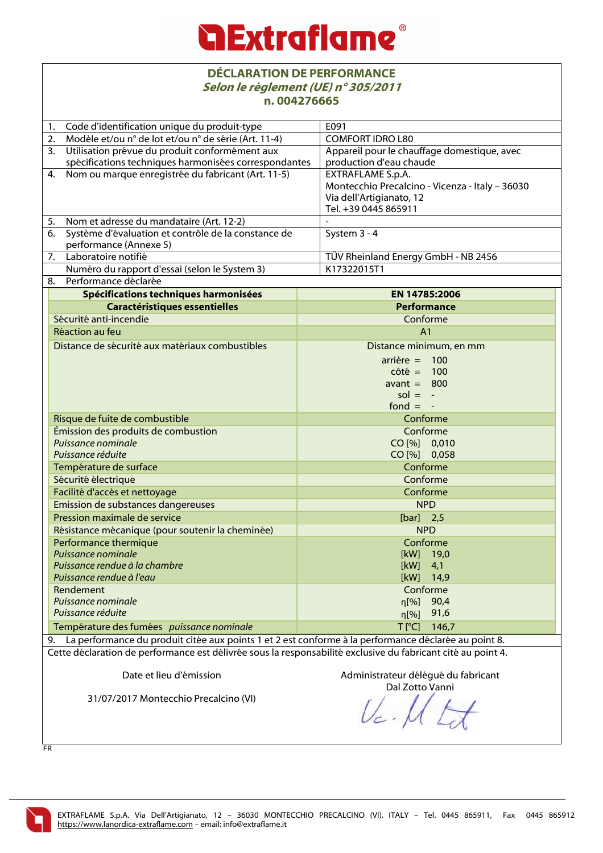#### **DÉCLARATION DE PERFORMANCE Selon le règlement (UE) n° 305/2011 n. 004276665**

| Code d'identification unique du produit-type<br>1.         |                                                                                                                                                                                                                         | F091                                            |  |  |
|------------------------------------------------------------|-------------------------------------------------------------------------------------------------------------------------------------------------------------------------------------------------------------------------|-------------------------------------------------|--|--|
| Modèle et/ou n° de lot et/ou n° de série (Art. 11-4)<br>2. |                                                                                                                                                                                                                         | <b>COMFORT IDRO L80</b>                         |  |  |
| 3.<br>Utilisation prévue du produit conformément aux       |                                                                                                                                                                                                                         | Appareil pour le chauffage domestique, avec     |  |  |
|                                                            | spécifications techniques harmonisées correspondantes                                                                                                                                                                   | production d'eau chaude                         |  |  |
| 4.                                                         | Nom ou marque enregistrée du fabricant (Art. 11-5)                                                                                                                                                                      | <b>EXTRAFLAME S.p.A.</b>                        |  |  |
|                                                            |                                                                                                                                                                                                                         | Montecchio Precalcino - Vicenza - Italy - 36030 |  |  |
|                                                            |                                                                                                                                                                                                                         | Via dell'Artigianato, 12                        |  |  |
|                                                            |                                                                                                                                                                                                                         | Tel. +39 0445 865911                            |  |  |
|                                                            | 5. Nom et adresse du mandataire (Art. 12-2)                                                                                                                                                                             |                                                 |  |  |
| 6.                                                         | Système d'évaluation et contrôle de la constance de                                                                                                                                                                     | System 3 - 4                                    |  |  |
|                                                            | performance (Annexe 5)                                                                                                                                                                                                  |                                                 |  |  |
|                                                            | 7. Laboratoire notifié                                                                                                                                                                                                  | TÜV Rheinland Energy GmbH - NB 2456             |  |  |
|                                                            | Numéro du rapport d'essai (selon le System 3)                                                                                                                                                                           | K17322015T1                                     |  |  |
| 8.                                                         | Performance déclarée                                                                                                                                                                                                    |                                                 |  |  |
|                                                            | Spécifications techniques harmonisées                                                                                                                                                                                   | EN 14785:2006                                   |  |  |
|                                                            | <b>Caractéristiques essentielles</b>                                                                                                                                                                                    | Performance                                     |  |  |
|                                                            | Sécurité anti-incendie                                                                                                                                                                                                  | Conforme                                        |  |  |
|                                                            | Réaction au feu                                                                                                                                                                                                         | A <sub>1</sub>                                  |  |  |
|                                                            | Distance de sécurité aux matériaux combustibles                                                                                                                                                                         | Distance minimum, en mm                         |  |  |
|                                                            |                                                                                                                                                                                                                         | $arrière = 100$                                 |  |  |
|                                                            |                                                                                                                                                                                                                         | $côte = 100$                                    |  |  |
|                                                            |                                                                                                                                                                                                                         | avant $= 800$                                   |  |  |
|                                                            |                                                                                                                                                                                                                         | $sol = -$                                       |  |  |
|                                                            |                                                                                                                                                                                                                         | fond $= -$                                      |  |  |
| Risque de fuite de combustible                             |                                                                                                                                                                                                                         | Conforme                                        |  |  |
| Émission des produits de combustion                        |                                                                                                                                                                                                                         | Conforme                                        |  |  |
|                                                            | Puissance nominale                                                                                                                                                                                                      | CO [%] 0,010                                    |  |  |
|                                                            | Puissance réduite                                                                                                                                                                                                       | CO [%] 0,058                                    |  |  |
|                                                            | Température de surface                                                                                                                                                                                                  | Conforme                                        |  |  |
|                                                            | Sécurité électrique                                                                                                                                                                                                     | Conforme                                        |  |  |
| Facilité d'accès et nettoyage                              |                                                                                                                                                                                                                         | Conforme                                        |  |  |
|                                                            | Emission de substances dangereuses                                                                                                                                                                                      | <b>NPD</b>                                      |  |  |
|                                                            | Pression maximale de service                                                                                                                                                                                            | $[bar]$ 2,5                                     |  |  |
|                                                            | Résistance mécanique (pour soutenir la cheminée)                                                                                                                                                                        | <b>NPD</b>                                      |  |  |
|                                                            | Performance thermique                                                                                                                                                                                                   | Conforme                                        |  |  |
|                                                            | Puissance nominale                                                                                                                                                                                                      | [kW] 19,0                                       |  |  |
|                                                            | Puissance rendue à la chambre<br>Puissance rendue à l'eau                                                                                                                                                               | [kW]<br>4,1<br>[kW]<br>14,9                     |  |  |
|                                                            | Rendement                                                                                                                                                                                                               | Conforme                                        |  |  |
|                                                            | Puissance nominale                                                                                                                                                                                                      | 90,4                                            |  |  |
| Puissance réduite                                          |                                                                                                                                                                                                                         | $\eta$ [%]<br>91,6                              |  |  |
|                                                            |                                                                                                                                                                                                                         | n[%]                                            |  |  |
| Température des fumées puissance nominale                  |                                                                                                                                                                                                                         | $T$ [ $^{\circ}$ C]<br>146,7                    |  |  |
|                                                            | 9. La performance du produit citée aux points 1 et 2 est conforme à la performance déclarée au point 8.<br>Cette déclaration de performance est délivrée sous la responsabilité exclusive du fabricant cité au point 4. |                                                 |  |  |
|                                                            |                                                                                                                                                                                                                         |                                                 |  |  |
|                                                            | Date et lieu d'émission                                                                                                                                                                                                 | Administrateur délégué du fabricant             |  |  |
|                                                            |                                                                                                                                                                                                                         | Dal Zotto Vanni                                 |  |  |
| 31/07/2017 Montecchio Precalcino (VI)                      |                                                                                                                                                                                                                         |                                                 |  |  |
|                                                            |                                                                                                                                                                                                                         |                                                 |  |  |
|                                                            |                                                                                                                                                                                                                         |                                                 |  |  |

FR

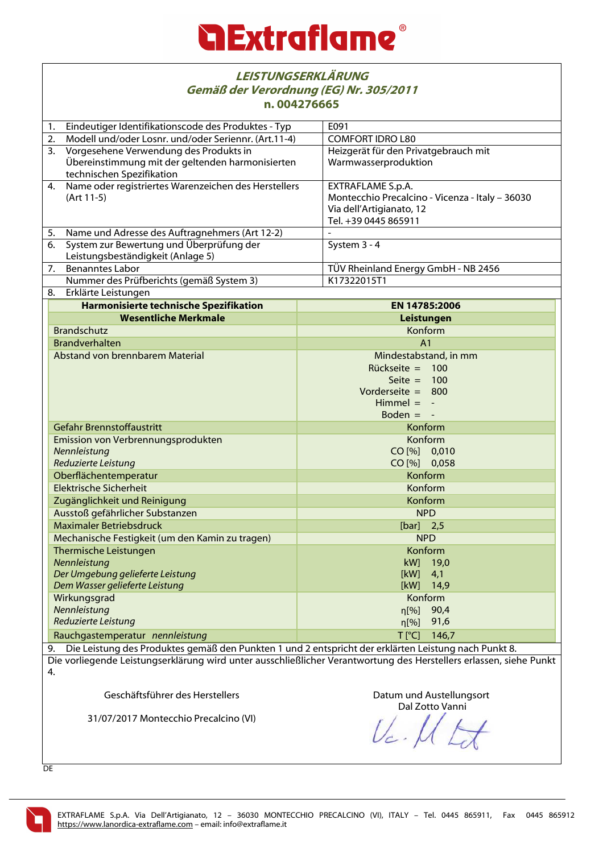|                                                                                                                                                                                                                                  | <b>LEISTUNGSERKLÄRUNG</b><br>Gemäß der Verordnung (EG) Nr. 305/2011<br>n.004276665 |                                                 |  |  |  |
|----------------------------------------------------------------------------------------------------------------------------------------------------------------------------------------------------------------------------------|------------------------------------------------------------------------------------|-------------------------------------------------|--|--|--|
| 1.                                                                                                                                                                                                                               | Eindeutiger Identifikationscode des Produktes - Typ                                | E091                                            |  |  |  |
| 2.                                                                                                                                                                                                                               | Modell und/oder Losnr. und/oder Seriennr. (Art.11-4)                               | <b>COMFORT IDRO L80</b>                         |  |  |  |
| 3.                                                                                                                                                                                                                               | Vorgesehene Verwendung des Produkts in                                             | Heizgerät für den Privatgebrauch mit            |  |  |  |
|                                                                                                                                                                                                                                  | Übereinstimmung mit der geltenden harmonisierten<br>technischen Spezifikation      | Warmwasserproduktion                            |  |  |  |
| 4.                                                                                                                                                                                                                               | Name oder registriertes Warenzeichen des Herstellers                               | EXTRAFLAME S.p.A.                               |  |  |  |
|                                                                                                                                                                                                                                  | (Art 11-5)                                                                         | Montecchio Precalcino - Vicenza - Italy - 36030 |  |  |  |
|                                                                                                                                                                                                                                  |                                                                                    | Via dell'Artigianato, 12                        |  |  |  |
|                                                                                                                                                                                                                                  |                                                                                    | Tel. +39 0445 865911                            |  |  |  |
| 5.                                                                                                                                                                                                                               | Name und Adresse des Auftragnehmers (Art 12-2)                                     |                                                 |  |  |  |
| 6.                                                                                                                                                                                                                               | System zur Bewertung und Überprüfung der                                           | System 3 - 4                                    |  |  |  |
|                                                                                                                                                                                                                                  | Leistungsbeständigkeit (Anlage 5)                                                  |                                                 |  |  |  |
| 7.                                                                                                                                                                                                                               | <b>Benanntes Labor</b>                                                             | TÜV Rheinland Energy GmbH - NB 2456             |  |  |  |
|                                                                                                                                                                                                                                  | Nummer des Prüfberichts (gemäß System 3)                                           | K17322015T1                                     |  |  |  |
| 8.                                                                                                                                                                                                                               | Erklärte Leistungen                                                                |                                                 |  |  |  |
|                                                                                                                                                                                                                                  | Harmonisierte technische Spezifikation                                             | EN 14785:2006                                   |  |  |  |
|                                                                                                                                                                                                                                  | <b>Wesentliche Merkmale</b>                                                        | Leistungen                                      |  |  |  |
|                                                                                                                                                                                                                                  | <b>Brandschutz</b>                                                                 | Konform                                         |  |  |  |
|                                                                                                                                                                                                                                  | <b>Brandverhalten</b>                                                              | A <sub>1</sub>                                  |  |  |  |
| Abstand von brennbarem Material                                                                                                                                                                                                  |                                                                                    | Mindestabstand, in mm                           |  |  |  |
|                                                                                                                                                                                                                                  |                                                                                    | $Rückseite =$<br>100                            |  |  |  |
|                                                                                                                                                                                                                                  |                                                                                    | Seite $= 100$                                   |  |  |  |
|                                                                                                                                                                                                                                  |                                                                                    | Vorderseite $= 800$                             |  |  |  |
|                                                                                                                                                                                                                                  |                                                                                    | $Himmel = -$                                    |  |  |  |
|                                                                                                                                                                                                                                  |                                                                                    | Boden $= -$                                     |  |  |  |
|                                                                                                                                                                                                                                  | Gefahr Brennstoffaustritt                                                          | Konform                                         |  |  |  |
|                                                                                                                                                                                                                                  | Emission von Verbrennungsprodukten                                                 | Konform<br>CO [%] 0,010<br>CO [%] 0,058         |  |  |  |
|                                                                                                                                                                                                                                  | Nennleistung                                                                       |                                                 |  |  |  |
|                                                                                                                                                                                                                                  | Reduzierte Leistung                                                                |                                                 |  |  |  |
|                                                                                                                                                                                                                                  | Oberflächentemperatur<br>Elektrische Sicherheit                                    | Konform<br>Konform<br>Konform<br><b>NPD</b>     |  |  |  |
|                                                                                                                                                                                                                                  |                                                                                    |                                                 |  |  |  |
|                                                                                                                                                                                                                                  | Zugänglichkeit und Reinigung                                                       |                                                 |  |  |  |
|                                                                                                                                                                                                                                  | Ausstoß gefährlicher Substanzen                                                    |                                                 |  |  |  |
| <b>Maximaler Betriebsdruck</b><br>Mechanische Festigkeit (um den Kamin zu tragen)                                                                                                                                                |                                                                                    | $[bar]$ 2,5                                     |  |  |  |
|                                                                                                                                                                                                                                  |                                                                                    | <b>NPD</b>                                      |  |  |  |
| Thermische Leistungen                                                                                                                                                                                                            |                                                                                    | Konform                                         |  |  |  |
| Nennleistung                                                                                                                                                                                                                     |                                                                                    | kW]<br>19,0<br>[kW]                             |  |  |  |
| Der Umgebung gelieferte Leistung                                                                                                                                                                                                 |                                                                                    | 4,1<br>[kW]                                     |  |  |  |
| Dem Wasser gelieferte Leistung                                                                                                                                                                                                   |                                                                                    | 14,9<br>Konform                                 |  |  |  |
| Wirkungsgrad<br>Nennleistung                                                                                                                                                                                                     |                                                                                    | 90,4                                            |  |  |  |
| Reduzierte Leistung                                                                                                                                                                                                              |                                                                                    | $\eta$ [%]<br>91,6<br>$\eta$ [%]                |  |  |  |
|                                                                                                                                                                                                                                  |                                                                                    |                                                 |  |  |  |
|                                                                                                                                                                                                                                  | Rauchgastemperatur nennleistung                                                    | $T$ $[°C]$<br>146,7                             |  |  |  |
| Die Leistung des Produktes gemäß den Punkten 1 und 2 entspricht der erklärten Leistung nach Punkt 8.<br>9.<br>Die vorliegende Leistungserklärung wird unter ausschließlicher Verantwortung des Herstellers erlassen, siehe Punkt |                                                                                    |                                                 |  |  |  |
|                                                                                                                                                                                                                                  |                                                                                    |                                                 |  |  |  |
|                                                                                                                                                                                                                                  | 4.                                                                                 |                                                 |  |  |  |

Geschäftsführer des Herstellers

31/07/2017 Montecchio Precalcino (VI)

Datum und Austellungsort Dal Zotto Vanni

 $U_c$ Z

DE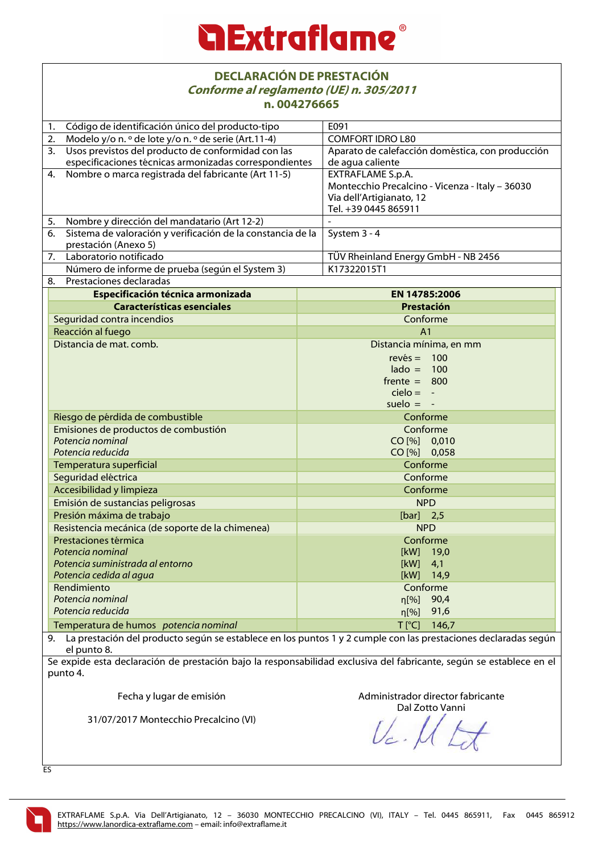### **Extraflame**

#### **DECLARACIÓN DE PRESTACIÓN Conforme al reglamento (UE) n. 305/2011 n. 004276665**

| 11. UUTZ/UUUJ                                                                                                     |                                                                                                                    |              |                                                  |  |
|-------------------------------------------------------------------------------------------------------------------|--------------------------------------------------------------------------------------------------------------------|--------------|--------------------------------------------------|--|
| 1.                                                                                                                | Código de identificación único del producto-tipo                                                                   |              | E091                                             |  |
| 2.                                                                                                                | Modelo y/o n. º de lote y/o n. º de serie (Art.11-4)                                                               |              | <b>COMFORT IDRO L80</b>                          |  |
| 3.                                                                                                                | Usos previstos del producto de conformidad con las                                                                 |              | Aparato de calefacción doméstica, con producción |  |
|                                                                                                                   | especificaciones técnicas armonizadas correspondientes                                                             |              | de agua caliente                                 |  |
| 4.                                                                                                                | Nombre o marca registrada del fabricante (Art 11-5)                                                                |              | EXTRAFLAME S.p.A.                                |  |
|                                                                                                                   |                                                                                                                    |              | Montecchio Precalcino - Vicenza - Italy - 36030  |  |
|                                                                                                                   |                                                                                                                    |              | Via dell'Artigianato, 12                         |  |
|                                                                                                                   |                                                                                                                    |              | Tel. +39 0445 865911                             |  |
| 5.                                                                                                                | Nombre y dirección del mandatario (Art 12-2)                                                                       |              |                                                  |  |
| 6.                                                                                                                | Sistema de valoración y verificación de la constancia de la                                                        |              | System 3 - 4                                     |  |
|                                                                                                                   | prestación (Anexo 5)                                                                                               |              |                                                  |  |
|                                                                                                                   | 7. Laboratorio notificado                                                                                          |              | TÜV Rheinland Energy GmbH - NB 2456              |  |
|                                                                                                                   | Número de informe de prueba (según el System 3)                                                                    |              | K17322015T1                                      |  |
| 8.                                                                                                                | Prestaciones declaradas                                                                                            |              |                                                  |  |
|                                                                                                                   | Especificación técnica armonizada                                                                                  |              | <b>EN 14785:2006</b>                             |  |
|                                                                                                                   | <b>Características esenciales</b>                                                                                  |              | Prestación                                       |  |
|                                                                                                                   | Seguridad contra incendios                                                                                         |              | Conforme                                         |  |
|                                                                                                                   | Reacción al fuego                                                                                                  |              | A <sub>1</sub>                                   |  |
|                                                                                                                   | Distancia de mat. comb.                                                                                            |              | Distancia mínima, en mm                          |  |
|                                                                                                                   |                                                                                                                    |              | $rev\acute{e}s = 100$                            |  |
|                                                                                                                   |                                                                                                                    |              | $\text{lado} = 100$                              |  |
|                                                                                                                   |                                                                                                                    |              | $f$ rente = 800                                  |  |
|                                                                                                                   |                                                                                                                    |              | $cielo = -$                                      |  |
|                                                                                                                   |                                                                                                                    |              | suelo $= -$                                      |  |
| Riesgo de pérdida de combustible<br>Emisiones de productos de combustión<br>Potencia nominal<br>Potencia reducida |                                                                                                                    | Conforme     |                                                  |  |
|                                                                                                                   |                                                                                                                    | Conforme     |                                                  |  |
|                                                                                                                   |                                                                                                                    |              | CO [%] 0,010                                     |  |
|                                                                                                                   |                                                                                                                    | CO [%] 0,058 |                                                  |  |
|                                                                                                                   | Temperatura superficial                                                                                            |              | Conforme                                         |  |
|                                                                                                                   | Seguridad eléctrica                                                                                                |              | Conforme                                         |  |
|                                                                                                                   | Accesibilidad y limpieza                                                                                           |              | Conforme                                         |  |
|                                                                                                                   | Emisión de sustancias peligrosas                                                                                   |              | <b>NPD</b>                                       |  |
|                                                                                                                   | Presión máxima de trabajo                                                                                          |              | $[bar]$ 2,5                                      |  |
|                                                                                                                   | Resistencia mecánica (de soporte de la chimenea)<br>Prestaciones térmica                                           |              | <b>NPD</b>                                       |  |
|                                                                                                                   |                                                                                                                    |              | Conforme                                         |  |
| Potencia nominal<br>Potencia suministrada al entorno<br>Potencia cedida al agua                                   |                                                                                                                    | [kW] 19,0    |                                                  |  |
|                                                                                                                   |                                                                                                                    | [kW]<br>4,1  |                                                  |  |
|                                                                                                                   |                                                                                                                    | [kW]<br>14,9 |                                                  |  |
|                                                                                                                   | Rendimiento                                                                                                        |              | Conforme                                         |  |
|                                                                                                                   | Potencia nominal                                                                                                   |              | 90,4<br>n[%]                                     |  |
|                                                                                                                   | Potencia reducida                                                                                                  |              | 91,6<br>$\eta$ [%]                               |  |
|                                                                                                                   | Temperatura de humos potencia nominal                                                                              |              | $T$ [ $^{\circ}$ C]<br>146,7                     |  |
|                                                                                                                   | 9. La prestación del producto según se establece en los puntos 1 y 2 cumple con las prestaciones declaradas según  |              |                                                  |  |
| el punto 8.                                                                                                       |                                                                                                                    |              |                                                  |  |
|                                                                                                                   | Le oxpide esta declaración de prestación bajo la responsabilidad exclusiva del fabricante según se establece en el |              |                                                  |  |

Se expide esta declaración de prestación bajo la responsabilidad exclusiva del fabricante, según se establece en el punto 4.

Fecha y lugar de emisión

Administrador director fabricante

31/07/2017 Montecchio Precalcino (VI)

Dal Zotto Vanni

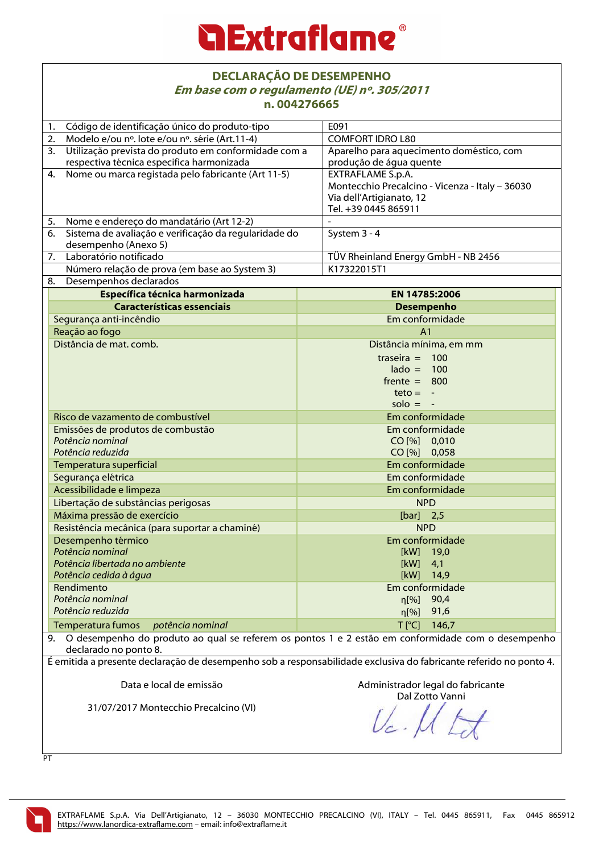### *<u>a Extraflame®</u>*

#### **DECLARAÇÃO DE DESEMPENHO Em base com o regulamento (UE) nº. 305/2011 n. 004276665**

| <u> n. vv42/0005</u>                                                                                              |                                                 |  |  |
|-------------------------------------------------------------------------------------------------------------------|-------------------------------------------------|--|--|
| Código de identificação único do produto-tipo<br>1.                                                               | E091                                            |  |  |
| 2.<br>Modelo e/ou nº. lote e/ou nº. série (Art.11-4)                                                              | <b>COMFORT IDRO L80</b>                         |  |  |
| 3.<br>Utilização prevista do produto em conformidade com a                                                        | Aparelho para aquecimento doméstico, com        |  |  |
| respectiva técnica especifica harmonizada                                                                         | produção de água quente                         |  |  |
| Nome ou marca registada pelo fabricante (Art 11-5)<br>4.                                                          | EXTRAFLAME S.p.A.                               |  |  |
|                                                                                                                   | Montecchio Precalcino - Vicenza - Italy - 36030 |  |  |
|                                                                                                                   | Via dell'Artigianato, 12                        |  |  |
|                                                                                                                   | Tel. +39 0445 865911                            |  |  |
| Nome e endereço do mandatário (Art 12-2)<br>5.                                                                    |                                                 |  |  |
| Sistema de avaliação e verificação da regularidade do<br>6.                                                       | System 3 - 4                                    |  |  |
| desempenho (Anexo 5)                                                                                              |                                                 |  |  |
| Laboratório notificado<br>7.                                                                                      | TÜV Rheinland Energy GmbH - NB 2456             |  |  |
| Número relação de prova (em base ao System 3)                                                                     | K17322015T1                                     |  |  |
| Desempenhos declarados<br>8.                                                                                      |                                                 |  |  |
| Específica técnica harmonizada                                                                                    | EN 14785:2006                                   |  |  |
| <b>Características essenciais</b>                                                                                 | <b>Desempenho</b>                               |  |  |
| Segurança anti-incêndio                                                                                           | Em conformidade                                 |  |  |
| Reação ao fogo                                                                                                    | A <sub>1</sub>                                  |  |  |
| Distância de mat. comb.                                                                                           | Distância mínima, em mm                         |  |  |
|                                                                                                                   |                                                 |  |  |
|                                                                                                                   | traseira = $100$                                |  |  |
|                                                                                                                   | $\text{lado} = 100$<br>$f$ rente = 800          |  |  |
|                                                                                                                   |                                                 |  |  |
|                                                                                                                   | $teto = -$<br>$solo = -$                        |  |  |
|                                                                                                                   |                                                 |  |  |
| Risco de vazamento de combustível                                                                                 | Em conformidade                                 |  |  |
| Emissões de produtos de combustão                                                                                 | Em conformidade                                 |  |  |
| Potência nominal                                                                                                  | CO [%] 0,010                                    |  |  |
| Potência reduzida                                                                                                 | CO [%] 0,058                                    |  |  |
| Temperatura superficial                                                                                           | Em conformidade                                 |  |  |
| Segurança elétrica                                                                                                | Em conformidade                                 |  |  |
| Acessibilidade e limpeza                                                                                          | Em conformidade                                 |  |  |
| Libertação de substâncias perigosas                                                                               | <b>NPD</b>                                      |  |  |
| Máxima pressão de exercício                                                                                       | $[bar]$ 2,5                                     |  |  |
| Resistência mecânica (para suportar a chaminé)                                                                    | <b>NPD</b>                                      |  |  |
| Desempenho térmico                                                                                                | Em conformidade                                 |  |  |
| Potência nominal                                                                                                  | [kW] 19,0                                       |  |  |
| Potência libertada no ambiente                                                                                    | [kW]<br>4,1                                     |  |  |
| Potência cedida à água                                                                                            | [kW]<br>14,9                                    |  |  |
| Rendimento                                                                                                        | Em conformidade                                 |  |  |
| Potência nominal                                                                                                  | 90,4<br>$\eta$ [%]                              |  |  |
| Potência reduzida                                                                                                 | 91,6<br>$\eta$ [%]                              |  |  |
| <b>Temperatura fumos</b><br>potência nominal                                                                      | $T$ [ $^{\circ}$ C]<br>146,7                    |  |  |
| 9. O desempenho do produto ao qual se referem os pontos 1 e 2 estão em conformidade com o desempenho              |                                                 |  |  |
| declarado no ponto 8.                                                                                             |                                                 |  |  |
| É emitida a presente declaração de desempenho sob a responsabilidade exclusiva do fabricante referido no ponto 4. |                                                 |  |  |
|                                                                                                                   |                                                 |  |  |
| Data e local de emissão                                                                                           | Administrador legal do fabricante               |  |  |
|                                                                                                                   | Dal Zotto Vanni                                 |  |  |
| 31/07/2017 Montecchio Precalcino (VI)                                                                             |                                                 |  |  |
|                                                                                                                   |                                                 |  |  |
|                                                                                                                   |                                                 |  |  |

PT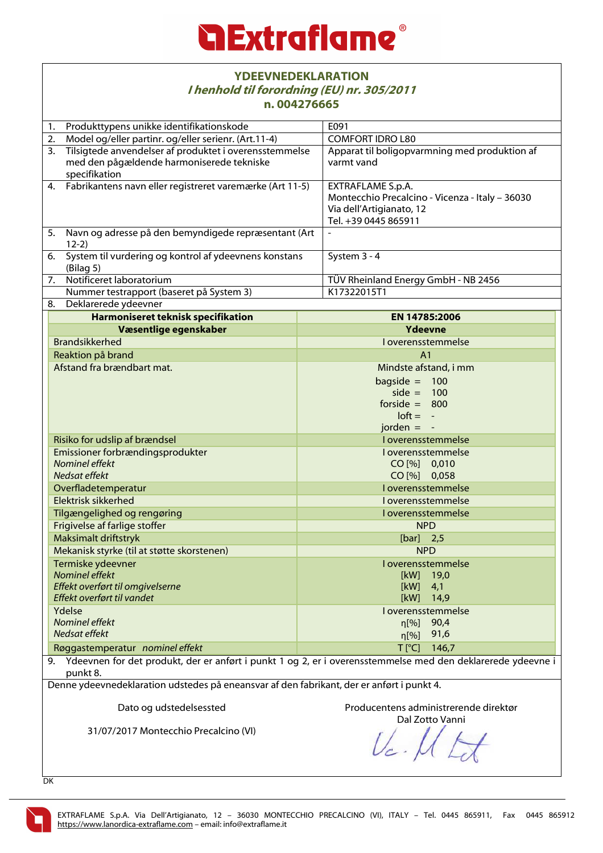

| <b>YDEEVNEDEKLARATION</b><br>I henhold til forordning (EU) nr. 305/2011<br>n.004276665                                     |                                                                                                                          |  |  |
|----------------------------------------------------------------------------------------------------------------------------|--------------------------------------------------------------------------------------------------------------------------|--|--|
| 1. Produkttypens unikke identifikationskode                                                                                | E091                                                                                                                     |  |  |
| 2.<br>Model og/eller partinr. og/eller serienr. (Art.11-4)                                                                 | <b>COMFORT IDRO L80</b>                                                                                                  |  |  |
| Tilsigtede anvendelser af produktet i overensstemmelse<br>3.<br>med den pågældende harmoniserede tekniske<br>specifikation | Apparat til boligopvarmning med produktion af<br>varmt vand                                                              |  |  |
| 4. Fabrikantens navn eller registreret varemærke (Art 11-5)                                                                | EXTRAFLAME S.p.A.<br>Montecchio Precalcino - Vicenza - Italy - 36030<br>Via dell'Artigianato, 12<br>Tel. +39 0445 865911 |  |  |
| 5. Navn og adresse på den bemyndigede repræsentant (Art<br>$12-2)$                                                         |                                                                                                                          |  |  |
| 6.<br>System til vurdering og kontrol af ydeevnens konstans<br>(Bilag 5)                                                   | System 3 - 4                                                                                                             |  |  |
| $\overline{7}$ .<br>Notificeret laboratorium                                                                               | TÜV Rheinland Energy GmbH - NB 2456                                                                                      |  |  |
| Nummer testrapport (baseret på System 3)                                                                                   | K17322015T1                                                                                                              |  |  |
| 8.<br>Deklarerede ydeevner                                                                                                 |                                                                                                                          |  |  |
| Harmoniseret teknisk specifikation                                                                                         | EN 14785:2006                                                                                                            |  |  |
| Væsentlige egenskaber                                                                                                      | <b>Ydeevne</b>                                                                                                           |  |  |
| <b>Brandsikkerhed</b>                                                                                                      | I overensstemmelse                                                                                                       |  |  |
| Reaktion på brand                                                                                                          | A <sub>1</sub>                                                                                                           |  |  |
| Afstand fra brændbart mat.                                                                                                 | Mindste afstand, i mm<br>bagside = $100$<br>side = $100$<br>forside = $800$<br>$\text{loft} = -$                         |  |  |
|                                                                                                                            | jorden $= -$                                                                                                             |  |  |
| Risiko for udslip af brændsel                                                                                              | I overensstemmelse                                                                                                       |  |  |
| Emissioner forbrændingsprodukter                                                                                           | I overensstemmelse                                                                                                       |  |  |
| Nominel effekt<br>Nedsat effekt                                                                                            | CO [%] 0,010<br>CO [%] 0,058                                                                                             |  |  |
| Overfladetemperatur                                                                                                        | I overensstemmelse                                                                                                       |  |  |
| Elektrisk sikkerhed                                                                                                        | I overensstemmelse                                                                                                       |  |  |
| Tilgængelighed og rengøring                                                                                                | I overensstemmelse                                                                                                       |  |  |
| Frigivelse af farlige stoffer                                                                                              | <b>NPD</b>                                                                                                               |  |  |
| Maksimalt driftstryk                                                                                                       | $[bar]$ 2,5                                                                                                              |  |  |
| Mekanisk styrke (til at støtte skorstenen)                                                                                 | <b>NPD</b>                                                                                                               |  |  |
| Termiske ydeevner                                                                                                          | I overensstemmelse                                                                                                       |  |  |
| Nominel effekt                                                                                                             | [kW]<br>19,0                                                                                                             |  |  |
| Effekt overført til omgivelserne                                                                                           | [kW]<br>4,1                                                                                                              |  |  |
| Effekt overført til vandet                                                                                                 | [kW]<br>14,9                                                                                                             |  |  |
| Ydelse                                                                                                                     | I overensstemmelse                                                                                                       |  |  |
| Nominel effekt                                                                                                             | 90,4<br>n[%]                                                                                                             |  |  |
| Nedsat effekt                                                                                                              | 91,6<br>$\eta$ [%]                                                                                                       |  |  |
| Røggastemperatur nominel effekt                                                                                            | $T$ [ $^{\circ}$ C]<br>146,7                                                                                             |  |  |
| punkt 8.                                                                                                                   | 9. Ydeevnen for det produkt, der er anført i punkt 1 og 2, er i overensstemmelse med den deklarerede ydeevne i           |  |  |

Denne ydeevnedeklaration udstedes på eneansvar af den fabrikant, der er anført i punkt 4.

Dato og udstedelsessted

Producentens administrerende direktør

31/07/2017 Montecchio Precalcino (VI)

Dal Zotto Vanni

DK

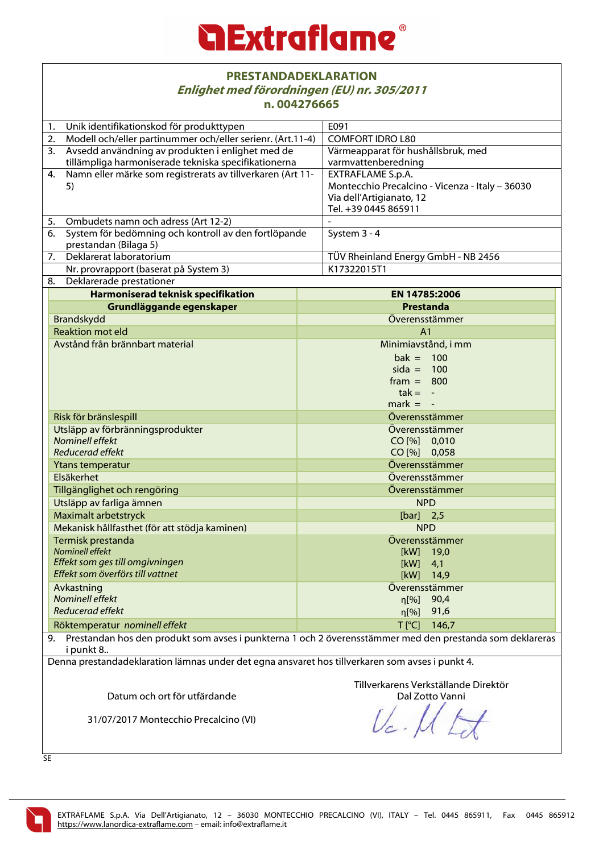|                               | <b>PRESTANDADEKLARATION</b><br>Enlighet med förordningen (EU) nr. 305/2011<br>n.004276665       |                                                                                                             |  |
|-------------------------------|-------------------------------------------------------------------------------------------------|-------------------------------------------------------------------------------------------------------------|--|
|                               | Unik identifikationskod för produkttypen<br>1.                                                  | E091                                                                                                        |  |
|                               | Modell och/eller partinummer och/eller serienr. (Art.11-4)<br>2.                                | <b>COMFORT IDRO L80</b>                                                                                     |  |
|                               | Avsedd användning av produkten i enlighet med de<br>3.                                          | Värmeapparat för hushållsbruk, med                                                                          |  |
|                               | tillämpliga harmoniserade tekniska specifikationerna                                            | varmvattenberedning                                                                                         |  |
|                               | Namn eller märke som registrerats av tillverkaren (Art 11-<br>4.                                | EXTRAFLAME S.p.A.                                                                                           |  |
|                               | 5)                                                                                              | Montecchio Precalcino - Vicenza - Italy - 36030<br>Via dell'Artigianato, 12                                 |  |
|                               |                                                                                                 | Tel. +39 0445 865911                                                                                        |  |
|                               | Ombudets namn och adress (Art 12-2)<br>5.                                                       |                                                                                                             |  |
|                               | System för bedömning och kontroll av den fortlöpande<br>6.                                      | System 3 - 4                                                                                                |  |
|                               | prestandan (Bilaga 5)                                                                           |                                                                                                             |  |
|                               | Deklarerat laboratorium<br>7.                                                                   | TÜV Rheinland Energy GmbH - NB 2456                                                                         |  |
|                               | Nr. provrapport (baserat på System 3)                                                           | K17322015T1                                                                                                 |  |
|                               | Deklarerade prestationer<br>8.                                                                  |                                                                                                             |  |
|                               | <b>Harmoniserad teknisk specifikation</b>                                                       | EN 14785:2006                                                                                               |  |
|                               | Grundläggande egenskaper                                                                        | Prestanda                                                                                                   |  |
|                               | Brandskydd                                                                                      | Överensstämmer                                                                                              |  |
|                               | <b>Reaktion mot eld</b>                                                                         | A <sub>1</sub>                                                                                              |  |
|                               | Avstånd från brännbart material                                                                 | Minimiavstånd, i mm                                                                                         |  |
|                               |                                                                                                 | $bak = 100$                                                                                                 |  |
|                               |                                                                                                 | $sida = 100$                                                                                                |  |
|                               |                                                                                                 | $frame = 800$                                                                                               |  |
|                               |                                                                                                 | $tak = -$                                                                                                   |  |
|                               |                                                                                                 | $mark = -$                                                                                                  |  |
|                               | Risk för bränslespill                                                                           | Överensstämmer                                                                                              |  |
|                               | Utsläpp av förbränningsprodukter                                                                | Överensstämmer                                                                                              |  |
|                               | Nominell effekt                                                                                 | CO [%] 0,010                                                                                                |  |
|                               | <b>Reducerad effekt</b>                                                                         | CO [%] 0,058                                                                                                |  |
|                               | Ytans temperatur                                                                                | Överensstämmer                                                                                              |  |
|                               | Elsäkerhet                                                                                      |                                                                                                             |  |
|                               |                                                                                                 | Överensstämmer                                                                                              |  |
|                               | Tillgänglighet och rengöring                                                                    | Överensstämmer                                                                                              |  |
|                               | Utsläpp av farliga ämnen                                                                        | <b>NPD</b>                                                                                                  |  |
|                               | Maximalt arbetstryck                                                                            | $[bar]$ 2,5                                                                                                 |  |
|                               | Mekanisk hållfasthet (för att stödja kaminen)                                                   | <b>NPD</b>                                                                                                  |  |
|                               | Termisk prestanda                                                                               | Överensstämmer                                                                                              |  |
|                               | Nominell effekt                                                                                 | [kW]<br>19,0                                                                                                |  |
|                               | Effekt som ges till omgivningen                                                                 | [kW]<br>4,1                                                                                                 |  |
|                               | Effekt som överförs till vattnet                                                                | [kW]<br>14,9                                                                                                |  |
|                               | Avkastning                                                                                      | Överensstämmer                                                                                              |  |
|                               | Nominell effekt                                                                                 | 90,4<br>η[%]                                                                                                |  |
| Reducerad effekt              |                                                                                                 | 91,6<br>$\eta$ [%]                                                                                          |  |
| Röktemperatur nominell effekt |                                                                                                 | $T[^{\circ}C]$<br>146,7                                                                                     |  |
|                               | i punkt 8                                                                                       | 9. Prestandan hos den produkt som avses i punkterna 1 och 2 överensstämmer med den prestanda som deklareras |  |
|                               | Denna prestandadeklaration lämnas under det egna ansvaret hos tillverkaren som avses i punkt 4. |                                                                                                             |  |
|                               |                                                                                                 |                                                                                                             |  |
|                               |                                                                                                 | Tillverkarens Verkställande Direktör                                                                        |  |
|                               | Datum och ort för utfärdande                                                                    | Dal Zotto Vanni                                                                                             |  |
|                               |                                                                                                 |                                                                                                             |  |
|                               | 31/07/2017 Montecchio Precalcino (VI)                                                           |                                                                                                             |  |

SE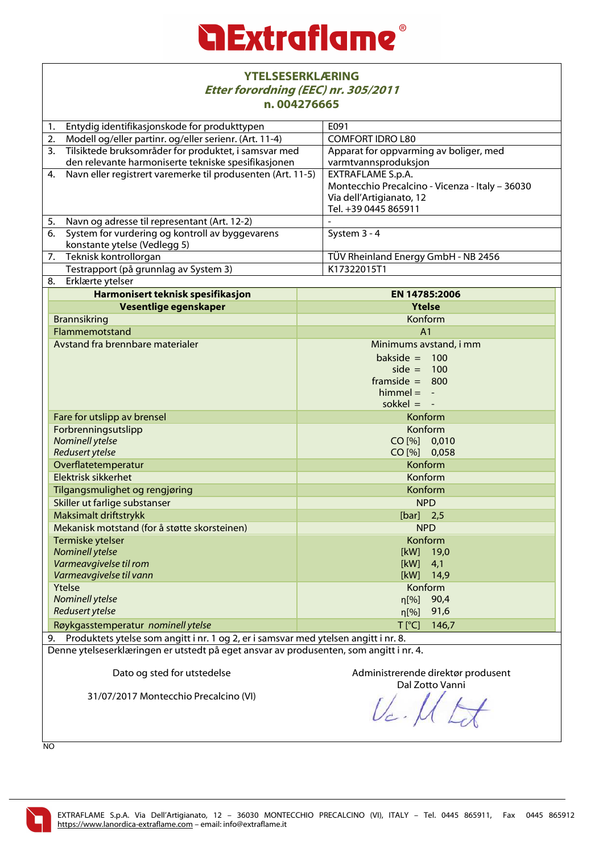### *<u>a Extraflame®</u>*

|                                    | <b>YTELSESERKLÆRING</b><br>Etter forordning (EEC) nr. 305/2011<br>n.004276665          |                    |                                                                                                                          |  |  |
|------------------------------------|----------------------------------------------------------------------------------------|--------------------|--------------------------------------------------------------------------------------------------------------------------|--|--|
| 1.                                 | Entydig identifikasjonskode for produkttypen                                           |                    | E091                                                                                                                     |  |  |
| 2.                                 | Modell og/eller partinr. og/eller serienr. (Art. 11-4)                                 |                    | <b>COMFORT IDRO L80</b>                                                                                                  |  |  |
|                                    | 3. Tilsiktede bruksområder for produktet, i samsvar med                                |                    | Apparat for oppvarming av boliger, med                                                                                   |  |  |
|                                    | den relevante harmoniserte tekniske spesifikasjonen                                    |                    | varmtvannsproduksjon                                                                                                     |  |  |
| 4.                                 | Navn eller registrert varemerke til produsenten (Art. 11-5)                            |                    | EXTRAFLAME S.p.A.<br>Montecchio Precalcino - Vicenza - Italy - 36030<br>Via dell'Artigianato, 12<br>Tel. +39 0445 865911 |  |  |
| 5.                                 | Navn og adresse til representant (Art. 12-2)                                           |                    |                                                                                                                          |  |  |
|                                    | 6. System for vurdering og kontroll av byggevarens                                     |                    | System 3 - 4                                                                                                             |  |  |
|                                    | konstante ytelse (Vedlegg 5)                                                           |                    |                                                                                                                          |  |  |
|                                    | 7. Teknisk kontrollorgan                                                               |                    | TÜV Rheinland Energy GmbH - NB 2456                                                                                      |  |  |
|                                    | Testrapport (på grunnlag av System 3)                                                  |                    | K17322015T1                                                                                                              |  |  |
| 8.                                 | Erklærte ytelser                                                                       |                    |                                                                                                                          |  |  |
|                                    | Harmonisert teknisk spesifikasjon                                                      |                    | EN 14785:2006                                                                                                            |  |  |
|                                    | Vesentlige egenskaper                                                                  |                    | <b>Ytelse</b>                                                                                                            |  |  |
|                                    | <b>Brannsikring</b>                                                                    |                    | Konform                                                                                                                  |  |  |
|                                    | Flammemotstand                                                                         |                    | A <sub>1</sub>                                                                                                           |  |  |
|                                    | Avstand fra brennbare materialer                                                       |                    | Minimums avstand, i mm                                                                                                   |  |  |
|                                    |                                                                                        |                    | bakside $=$<br>100<br>$side =$<br>100<br>$framside = 800$<br>$himmel = -$<br>sokkel $= -$                                |  |  |
| Fare for utslipp av brensel        |                                                                                        |                    | Konform                                                                                                                  |  |  |
| Forbrenningsutslipp                |                                                                                        |                    | Konform                                                                                                                  |  |  |
| Nominell ytelse                    |                                                                                        |                    | CO [%] 0,010                                                                                                             |  |  |
|                                    | <b>Redusert ytelse</b>                                                                 |                    | CO [%] 0,058                                                                                                             |  |  |
|                                    | Overflatetemperatur                                                                    |                    | Konform                                                                                                                  |  |  |
|                                    | Elektrisk sikkerhet                                                                    |                    | Konform                                                                                                                  |  |  |
|                                    | Tilgangsmulighet og rengjøring                                                         |                    | Konform                                                                                                                  |  |  |
|                                    | Skiller ut farlige substanser                                                          |                    | <b>NPD</b>                                                                                                               |  |  |
|                                    | Maksimalt driftstrykk                                                                  |                    | $[bar]$ 2,5                                                                                                              |  |  |
|                                    | Mekanisk motstand (for å støtte skorsteinen)                                           |                    | <b>NPD</b>                                                                                                               |  |  |
|                                    | Termiske ytelser                                                                       |                    | Konform                                                                                                                  |  |  |
|                                    | <b>Nominell ytelse</b>                                                                 |                    | [kW]<br>19,0                                                                                                             |  |  |
| Varmeavgivelse til rom             |                                                                                        |                    | [kW]<br>4,1                                                                                                              |  |  |
| Varmeavgivelse til vann            |                                                                                        | [kW]<br>14,9       |                                                                                                                          |  |  |
| Ytelse                             |                                                                                        | Konform            |                                                                                                                          |  |  |
| <b>Nominell ytelse</b>             |                                                                                        | $\eta$ [%]<br>90,4 |                                                                                                                          |  |  |
|                                    | <b>Redusert ytelse</b>                                                                 |                    | 91,6<br>$\eta$ [%]                                                                                                       |  |  |
| Røykgasstemperatur nominell ytelse |                                                                                        |                    | $T$ [ $^{\circ}$ C]<br>146,7                                                                                             |  |  |
|                                    | Produktets ytelse som angitt i nr. 1 og 2, er i samsvar med ytelsen angitt i nr. 8.    |                    |                                                                                                                          |  |  |
| 9.                                 |                                                                                        |                    |                                                                                                                          |  |  |
|                                    | Denne ytelseserklæringen er utstedt på eget ansvar av produsenten, som angitt i nr. 4. |                    |                                                                                                                          |  |  |

Dato og sted for utstedelse

31/07/2017 Montecchio Precalcino (VI)

Administrerende direktør produsent Dal Zotto Vanni

 $U_c$  $\overline{\phantom{a}}$ 

NO

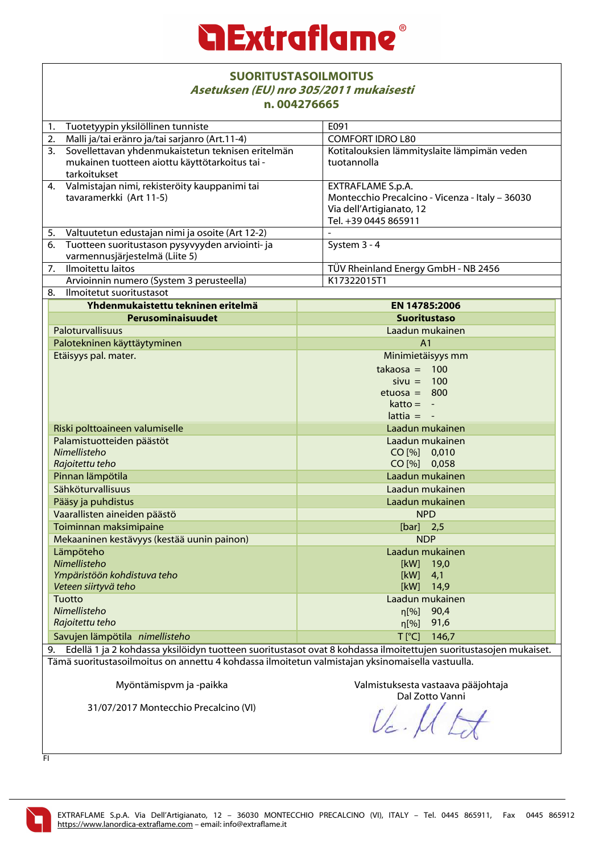|                                                                                  | <b>SUORITUSTASOILMOITUS</b><br>Asetuksen (EU) nro 305/2011 mukaisesti<br>n.004276665                                |                                                                                                                          |                                                                                                        |  |  |
|----------------------------------------------------------------------------------|---------------------------------------------------------------------------------------------------------------------|--------------------------------------------------------------------------------------------------------------------------|--------------------------------------------------------------------------------------------------------|--|--|
| 1.                                                                               | Tuotetyypin yksilöllinen tunniste                                                                                   |                                                                                                                          | E091                                                                                                   |  |  |
| 2.                                                                               | Malli ja/tai eränro ja/tai sarjanro (Art.11-4)                                                                      |                                                                                                                          | <b>COMFORT IDRO L80</b>                                                                                |  |  |
| 3.                                                                               | Sovellettavan yhdenmukaistetun teknisen eritelmän<br>mukainen tuotteen aiottu käyttötarkoitus tai -<br>tarkoitukset |                                                                                                                          | Kotitalouksien lämmityslaite lämpimän veden<br>tuotannolla                                             |  |  |
| 4. Valmistajan nimi, rekisteröity kauppanimi tai<br>tavaramerkki (Art 11-5)      |                                                                                                                     | EXTRAFLAME S.p.A.<br>Montecchio Precalcino - Vicenza - Italy - 36030<br>Via dell'Artigianato, 12<br>Tel. +39 0445 865911 |                                                                                                        |  |  |
| 5.                                                                               | Valtuutetun edustajan nimi ja osoite (Art 12-2)                                                                     |                                                                                                                          | $\overline{\phantom{a}}$                                                                               |  |  |
| 6.                                                                               | Tuotteen suoritustason pysyvyyden arviointi- ja<br>varmennusjärjestelmä (Liite 5)                                   |                                                                                                                          | System 3 - 4                                                                                           |  |  |
| 7.                                                                               | Ilmoitettu laitos                                                                                                   |                                                                                                                          | TÜV Rheinland Energy GmbH - NB 2456                                                                    |  |  |
|                                                                                  | Arvioinnin numero (System 3 perusteella)                                                                            |                                                                                                                          | K17322015T1                                                                                            |  |  |
| 8.                                                                               | Ilmoitetut suoritustasot                                                                                            |                                                                                                                          |                                                                                                        |  |  |
|                                                                                  | Yhdenmukaistettu tekninen eritelmä                                                                                  |                                                                                                                          | EN 14785:2006                                                                                          |  |  |
|                                                                                  | Perusominaisuudet                                                                                                   |                                                                                                                          | <b>Suoritustaso</b>                                                                                    |  |  |
|                                                                                  | Paloturvallisuus                                                                                                    |                                                                                                                          | Laadun mukainen                                                                                        |  |  |
|                                                                                  | Palotekninen käyttäytyminen                                                                                         |                                                                                                                          | A <sub>1</sub>                                                                                         |  |  |
|                                                                                  | Etäisyys pal. mater.                                                                                                |                                                                                                                          | Minimietäisyys mm<br>$takaosa = 100$<br>$sivu = 100$<br>$etuosa = 800$<br>$katto = -$<br>$lattice = -$ |  |  |
|                                                                                  | Riski polttoaineen valumiselle                                                                                      |                                                                                                                          | Laadun mukainen                                                                                        |  |  |
| Palamistuotteiden päästöt<br>Nimellisteho<br>Rajoitettu teho                     |                                                                                                                     |                                                                                                                          | Laadun mukainen<br>CO [%] 0,010<br>CO [%] 0,058                                                        |  |  |
|                                                                                  | Pinnan lämpötila                                                                                                    |                                                                                                                          | Laadun mukainen                                                                                        |  |  |
|                                                                                  | Sähköturvallisuus                                                                                                   |                                                                                                                          | Laadun mukainen                                                                                        |  |  |
|                                                                                  | Pääsy ja puhdistus                                                                                                  |                                                                                                                          | Laadun mukainen                                                                                        |  |  |
|                                                                                  | Vaarallisten aineiden päästö                                                                                        |                                                                                                                          | <b>NPD</b>                                                                                             |  |  |
|                                                                                  | Toiminnan maksimipaine                                                                                              |                                                                                                                          | $[bar]$ 2,5                                                                                            |  |  |
| Mekaaninen kestävyys (kestää uunin painon)                                       |                                                                                                                     | <b>NDP</b>                                                                                                               |                                                                                                        |  |  |
| Lämpöteho<br>Nimellisteho<br>Ympäristöön kohdistuva teho<br>Veteen siirtyvä teho |                                                                                                                     | Laadun mukainen<br>[kW]<br>19,0<br>[kW]<br>4,1<br>[kW]<br>14,9                                                           |                                                                                                        |  |  |
| Tuotto<br>Nimellisteho<br>Rajoitettu teho                                        |                                                                                                                     | Laadun mukainen<br>90,4<br>n[%]<br>91,6<br>$\eta$ [%]                                                                    |                                                                                                        |  |  |
| Savujen lämpötila nimellisteho                                                   |                                                                                                                     | $T[^{\circ}C]$<br>146,7                                                                                                  |                                                                                                        |  |  |
|                                                                                  | 9. Edellä 1 ja 2 kohdassa yksilöidyn tuotteen suoritustasot ovat 8 kohdassa ilmoitettujen suoritustasojen mukaiset. |                                                                                                                          |                                                                                                        |  |  |
|                                                                                  | Tämä suoritustasoilmoitus on annottu 4 kohdassa ilmoitotun valmistajan yksinomaisella vastuulla                     |                                                                                                                          |                                                                                                        |  |  |

Tämä suoritustasoilmoitus on annettu 4 kohdassa ilmoitetun valmistajan yksinomaisella vastuulla.

Myöntämispvm ja -paikka

31/07/2017 Montecchio Precalcino (VI)

Valmistuksesta vastaava pääjohtaja

Dal Zotto Vanni

FI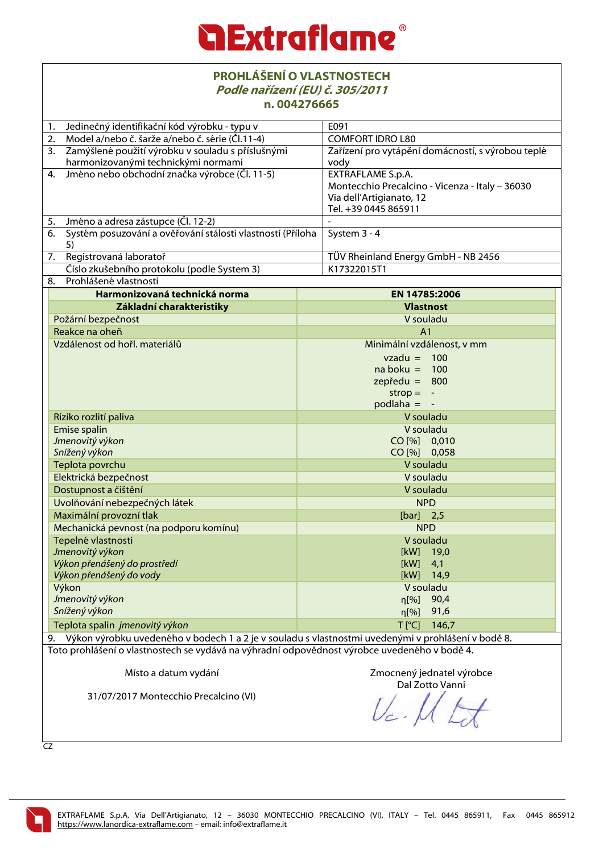|                 | <b>PROHLÁŠENÍ O VLASTNOSTECH</b><br>Podle nařízení (EU) č. 305/2011<br>n.004276665                                                                            |                    |                                                                                                                                                 |  |
|-----------------|---------------------------------------------------------------------------------------------------------------------------------------------------------------|--------------------|-------------------------------------------------------------------------------------------------------------------------------------------------|--|
| 1.              | Jedinečný identifikační kód výrobku - typu v                                                                                                                  |                    | E091                                                                                                                                            |  |
| 2.              | Model a/nebo č. šarže a/nebo č. série (Čl.11-4)                                                                                                               |                    | <b>COMFORT IDRO L80</b>                                                                                                                         |  |
| 3.              | Zamýšlené použití výrobku v souladu s příslušnými<br>harmonizovanými technickými normami                                                                      |                    | Zařízení pro vytápění domácností, s výrobou teplé<br>vody                                                                                       |  |
| 4.              | Jméno nebo obchodní značka výrobce (Čl. 11-5)                                                                                                                 |                    | EXTRAFLAME S.p.A.<br>Montecchio Precalcino - Vicenza - Italy - 36030<br>Via dell'Artigianato, 12<br>Tel. +39 0445 865911                        |  |
| 5.              | Jméno a adresa zástupce (Čl. 12-2)                                                                                                                            |                    |                                                                                                                                                 |  |
| 6.              | Systém posuzování a ověřování stálosti vlastností (Příloha<br>5)                                                                                              |                    | System 3 - 4                                                                                                                                    |  |
| 7.              | Registrovaná laboratoř                                                                                                                                        |                    | TÜV Rheinland Energy GmbH - NB 2456                                                                                                             |  |
|                 | Číslo zkušebního protokolu (podle System 3)                                                                                                                   |                    | K17322015T1                                                                                                                                     |  |
| 8.              | Prohlášené vlastnosti                                                                                                                                         |                    |                                                                                                                                                 |  |
|                 | Harmonizovaná technická norma                                                                                                                                 |                    | EN 14785:2006                                                                                                                                   |  |
|                 | Základní charakteristiky                                                                                                                                      |                    | <b>Vlastnost</b>                                                                                                                                |  |
|                 | Požární bezpečnost                                                                                                                                            |                    | V souladu                                                                                                                                       |  |
|                 | Reakce na oheň                                                                                                                                                |                    | A <sub>1</sub>                                                                                                                                  |  |
|                 | Vzdálenost od hořl. materiálů                                                                                                                                 |                    | Minimální vzdálenost, v mm<br>$vzadu =$<br>100<br>$naboku = 100$<br>$z$ epředu = 800<br>$strop =$<br>$\overline{\phantom{a}}$<br>$p$ odlaha = - |  |
|                 | Riziko rozlití paliva                                                                                                                                         |                    | V souladu                                                                                                                                       |  |
|                 | Emise spalin                                                                                                                                                  |                    | V souladu                                                                                                                                       |  |
|                 | Jmenovitý výkon                                                                                                                                               |                    | CO [%] 0,010                                                                                                                                    |  |
|                 | Snížený výkon                                                                                                                                                 |                    | CO [%] 0,058                                                                                                                                    |  |
|                 | Teplota povrchu                                                                                                                                               |                    | V souladu                                                                                                                                       |  |
|                 | Elektrická bezpečnost                                                                                                                                         |                    | V souladu                                                                                                                                       |  |
|                 | Dostupnost a čištění                                                                                                                                          |                    | V souladu                                                                                                                                       |  |
|                 | Uvolňování nebezpečných látek                                                                                                                                 |                    | <b>NPD</b>                                                                                                                                      |  |
|                 | Maximální provozní tlak                                                                                                                                       |                    | $[bar]$ 2,5                                                                                                                                     |  |
|                 | Mechanická pevnost (na podporu komínu)                                                                                                                        |                    | <b>NPD</b>                                                                                                                                      |  |
|                 | Tepelné vlastnosti                                                                                                                                            |                    | V souladu                                                                                                                                       |  |
|                 | Jmenovitý výkon                                                                                                                                               |                    | [kW]<br>19,0                                                                                                                                    |  |
|                 | Výkon přenášený do prostředí                                                                                                                                  |                    | [kW]<br>4,1                                                                                                                                     |  |
|                 | Výkon přenášený do vody                                                                                                                                       |                    | [kW]<br>14,9                                                                                                                                    |  |
|                 | Výkon                                                                                                                                                         |                    | V souladu                                                                                                                                       |  |
| Jmenovitý výkon |                                                                                                                                                               | 90,4<br>n[%]       |                                                                                                                                                 |  |
| Snížený výkon   |                                                                                                                                                               | 91,6<br>$\eta$ [%] |                                                                                                                                                 |  |
|                 | Teplota spalin jmenovitý výkon                                                                                                                                |                    | $T$ [ $^{\circ}$ C]<br>146,7                                                                                                                    |  |
|                 | 9. Výkon výrobku uvedeného v bodech 1 a 2 je v souladu s vlastnostmi uvedenými v prohlášení v bodě 8.                                                         |                    |                                                                                                                                                 |  |
|                 | Toto prohlášení o vlastnostech se vydává na výhradní odpovědnost výrobce uvedeného v bodě 4.<br>Místo a datum vydání<br>31/07/2017 Montecchio Precalcino (VI) |                    | Zmocnený jednatel výrobce<br>Dal Zotto Vanni                                                                                                    |  |

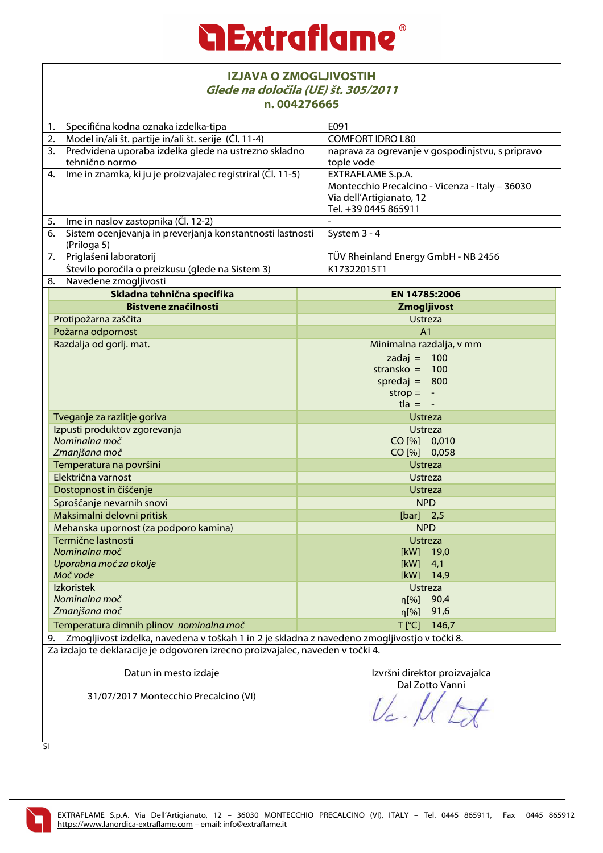| <b>IZJAVA O ZMOGLJIVOSTIH</b><br>Glede na določila (UE) št. 305/2011<br>n.004276665             |                                                                                                                                 |  |  |
|-------------------------------------------------------------------------------------------------|---------------------------------------------------------------------------------------------------------------------------------|--|--|
| Specifična kodna oznaka izdelka-tipa<br>1.                                                      | E091                                                                                                                            |  |  |
| Model in/ali št. partije in/ali št. serije (Čl. 11-4)<br>2.                                     | <b>COMFORT IDRO L80</b>                                                                                                         |  |  |
| Predvidena uporaba izdelka glede na ustrezno skladno<br>3.                                      | naprava za ogrevanje v gospodinjstvu, s pripravo                                                                                |  |  |
| tehnično normo                                                                                  | tople vode                                                                                                                      |  |  |
| 4. Ime in znamka, ki ju je proizvajalec registriral (Čl. 11-5)                                  | <b>EXTRAFLAME S.p.A.</b><br>Montecchio Precalcino - Vicenza - Italy - 36030<br>Via dell'Artigianato, 12<br>Tel. +39 0445 865911 |  |  |
| Ime in naslov zastopnika (Čl. 12-2)<br>5.                                                       |                                                                                                                                 |  |  |
| Sistem ocenjevanja in preverjanja konstantnosti lastnosti<br>6.<br>(Priloga 5)                  | System 3 - 4                                                                                                                    |  |  |
| Priglašeni laboratorij<br>7.                                                                    | TÜV Rheinland Energy GmbH - NB 2456                                                                                             |  |  |
| Število poročila o preizkusu (glede na Sistem 3)                                                | K17322015T1                                                                                                                     |  |  |
| Navedene zmogljivosti<br>8.                                                                     |                                                                                                                                 |  |  |
| Skladna tehnična specifika                                                                      | EN 14785:2006                                                                                                                   |  |  |
| <b>Bistvene značilnosti</b>                                                                     | Zmogljivost                                                                                                                     |  |  |
| Protipožarna zaščita                                                                            | <b>Ustreza</b>                                                                                                                  |  |  |
| Požarna odpornost                                                                               | A <sub>1</sub>                                                                                                                  |  |  |
| Razdalja od gorlj. mat.                                                                         | Minimalna razdalja, v mm<br>100<br>$zadaj =$<br>stransko $=$<br>100<br>spredaj = $800$<br>$strop =$<br>$t \cdot a = -$          |  |  |
| Tveganje za razlitje goriva                                                                     | <b>Ustreza</b>                                                                                                                  |  |  |
| Izpusti produktov zgorevanja                                                                    | <b>Ustreza</b>                                                                                                                  |  |  |
| Nominalna moč                                                                                   | CO [%] 0,010                                                                                                                    |  |  |
| Zmanjšana moč                                                                                   | CO [%] 0,058                                                                                                                    |  |  |
| Temperatura na površini                                                                         | <b>Ustreza</b>                                                                                                                  |  |  |
| Električna varnost                                                                              | <b>Ustreza</b>                                                                                                                  |  |  |
| Dostopnost in čiščenje                                                                          | <b>Ustreza</b>                                                                                                                  |  |  |
| Sproščanje nevarnih snovi                                                                       | <b>NPD</b>                                                                                                                      |  |  |
| Maksimalni delovni pritisk                                                                      | $[bar]$ 2,5                                                                                                                     |  |  |
| Mehanska upornost (za podporo kamina)                                                           | <b>NPD</b>                                                                                                                      |  |  |
| Termične lastnosti                                                                              | Ustreza                                                                                                                         |  |  |
| Nominalna moč                                                                                   | [kW]<br>19,0                                                                                                                    |  |  |
| Uporabna moč za okolje                                                                          | [kW]<br>4,1                                                                                                                     |  |  |
| Moč vode                                                                                        | [kW]<br>14,9                                                                                                                    |  |  |
| <b>Izkoristek</b>                                                                               | <b>Ustreza</b>                                                                                                                  |  |  |
| Nominalna moč                                                                                   | 90,4<br>$\eta$ [%]                                                                                                              |  |  |
| Zmanjšana moč                                                                                   | 91,6<br>$\eta$ [%]                                                                                                              |  |  |
| Temperatura dimnih plinov nominalna moč                                                         | $T$ [ $^{\circ}$ C]<br>146,7                                                                                                    |  |  |
| 9. Zmogljivost izdelka, navedena v toškah 1 in 2 je skladna z navedeno zmogljivostjo v točki 8. |                                                                                                                                 |  |  |
| Za izdajo te deklaracije je odgovoren izrecno proizvajalec, naveden v točki 4.                  |                                                                                                                                 |  |  |
| Datun in mesto izdaje                                                                           | Izvršni direktor proizvajalca<br>Dal Zotto Vanni                                                                                |  |  |
| 31/07/2017 Montecchio Precalcino (VI)                                                           |                                                                                                                                 |  |  |

SI

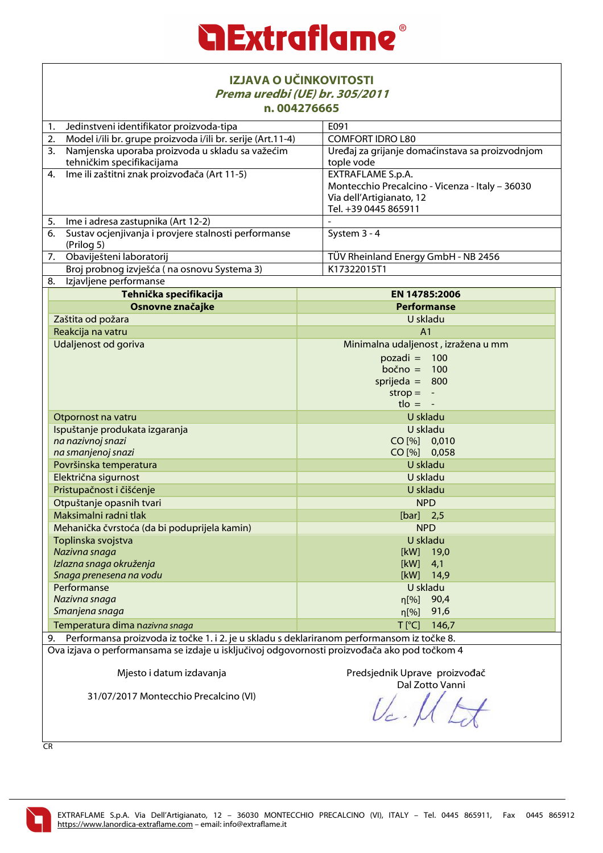

| IZJAVA O UČINKOVITOSTI<br>Prema uredbi (UE) br. 305/2011<br>n.004276665                                                                                           |                                                                                                                                                                      |  |  |
|-------------------------------------------------------------------------------------------------------------------------------------------------------------------|----------------------------------------------------------------------------------------------------------------------------------------------------------------------|--|--|
| Jedinstveni identifikator proizvoda-tipa<br>1.                                                                                                                    | E091                                                                                                                                                                 |  |  |
| Model i/ili br. grupe proizvoda i/ili br. serije (Art.11-4)<br>2.                                                                                                 | <b>COMFORT IDRO L80</b>                                                                                                                                              |  |  |
| Namjenska uporaba proizvoda u skladu sa važećim<br>3.<br>tehničkim specifikacijama                                                                                | Uređaj za grijanje domaćinstava sa proizvodnjom<br>tople vode                                                                                                        |  |  |
| 4. Ime ili zaštitni znak proizvođača (Art 11-5)                                                                                                                   | EXTRAFLAME S.p.A.<br>Montecchio Precalcino - Vicenza - Italy - 36030<br>Via dell'Artigianato, 12<br>Tel. +39 0445 865911                                             |  |  |
| Ime i adresa zastupnika (Art 12-2)<br>5.                                                                                                                          |                                                                                                                                                                      |  |  |
| Sustav ocjenjivanja i provjere stalnosti performanse<br>6.<br>(Prilog 5)                                                                                          | System 3 - 4                                                                                                                                                         |  |  |
| Obaviješteni laboratorij<br>7.                                                                                                                                    | TÜV Rheinland Energy GmbH - NB 2456                                                                                                                                  |  |  |
| Broj probnog izvješća (na osnovu Systema 3)                                                                                                                       | K17322015T1                                                                                                                                                          |  |  |
| Izjavljene performanse<br>8.                                                                                                                                      |                                                                                                                                                                      |  |  |
| Tehnička specifikacija                                                                                                                                            | EN 14785:2006                                                                                                                                                        |  |  |
| Osnovne značajke                                                                                                                                                  | <b>Performanse</b>                                                                                                                                                   |  |  |
| Zaštita od požara                                                                                                                                                 | U skladu                                                                                                                                                             |  |  |
| Reakcija na vatru                                                                                                                                                 | A <sub>1</sub>                                                                                                                                                       |  |  |
| Udaljenost od goriva                                                                                                                                              | Minimalna udaljenost, izražena u mm<br>$pozadi = 100$<br>$bočno =$<br>100<br>sprijeda = $800$<br>$\mathsf{strop} =$<br>$\overline{\phantom{a}}$<br>$t \cdot l$ = $-$ |  |  |
| Otpornost na vatru                                                                                                                                                | U skladu                                                                                                                                                             |  |  |
| Ispuštanje produkata izgaranja<br>na nazivnoj snazi                                                                                                               | U skladu<br>CO [%] 0,010<br>CO [%] 0,058                                                                                                                             |  |  |
| na smanjenoj snazi<br>Površinska temperatura                                                                                                                      | U skladu                                                                                                                                                             |  |  |
|                                                                                                                                                                   |                                                                                                                                                                      |  |  |
| Električna sigurnost<br>Pristupačnost i čišćenje                                                                                                                  | U skladu                                                                                                                                                             |  |  |
| Otpuštanje opasnih tvari                                                                                                                                          | U skladu<br><b>NPD</b>                                                                                                                                               |  |  |
| Maksimalni radni tlak                                                                                                                                             | [bar] $2,5$                                                                                                                                                          |  |  |
| Mehanička čvrstoća (da bi poduprijela kamin)                                                                                                                      | <b>NPD</b>                                                                                                                                                           |  |  |
| Toplinska svojstva<br>Nazivna snaga<br>Izlazna snaga okruženja<br>Snaga prenesena na vodu                                                                         | U skladu<br>[kW]<br>19,0<br>[kW]<br>4,1<br>14,9<br>[kW]                                                                                                              |  |  |
| Performanse                                                                                                                                                       | U skladu                                                                                                                                                             |  |  |
| Nazivna snaga                                                                                                                                                     | n[%]<br>90,4                                                                                                                                                         |  |  |
| Smanjena snaga                                                                                                                                                    | 91,6<br>$\eta$ [%]                                                                                                                                                   |  |  |
| Temperatura dima nazivna snaga                                                                                                                                    | $T$ [ $^{\circ}$ C]<br>146,7                                                                                                                                         |  |  |
| Performansa proizvoda iz točke 1. i 2. je u skladu s deklariranom performansom iz točke 8.<br>9.                                                                  |                                                                                                                                                                      |  |  |
| Ova izjava o performansama se izdaje u isključivoj odgovornosti proizvođača ako pod točkom 4<br>Mjesto i datum izdavanja<br>31/07/2017 Montecchio Precalcino (VI) | Predsjednik Uprave proizvođač<br>Dal Zotto Vanni                                                                                                                     |  |  |
|                                                                                                                                                                   |                                                                                                                                                                      |  |  |

CR

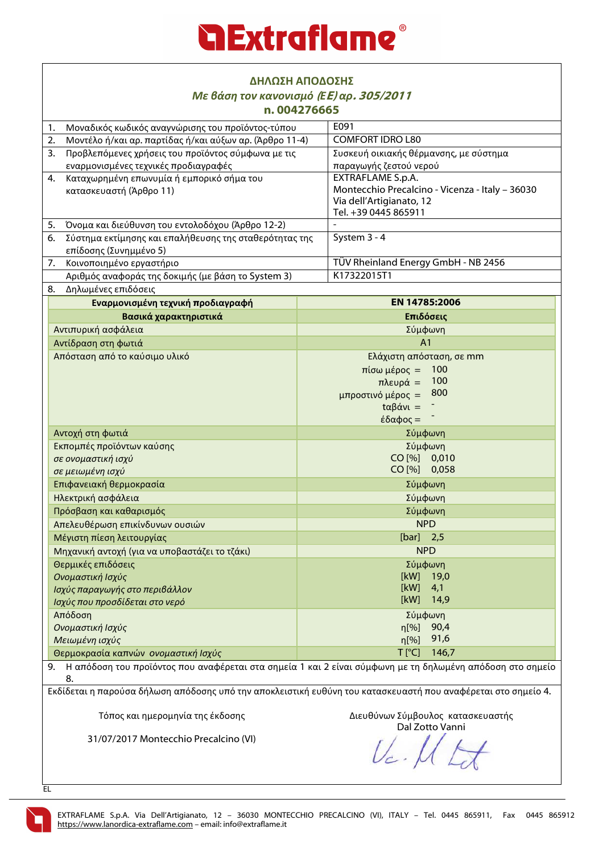| ΔΗΛΩΣΗ ΑΠΟΔΟΣΗΣ                                                                                                 |                                                    |  |  |  |
|-----------------------------------------------------------------------------------------------------------------|----------------------------------------------------|--|--|--|
| Με βάση τον κανονισμό (ΕΕ) αρ. 305/2011                                                                         |                                                    |  |  |  |
| n.004276665                                                                                                     |                                                    |  |  |  |
| Μοναδικός κωδικός αναγνώρισης του προϊόντος-τύπου<br>1.                                                         | E091                                               |  |  |  |
| Μοντέλο ή/και αρ. παρτίδας ή/και αύξων αρ. (Άρθρο 11-4)<br>2.                                                   | <b>COMFORT IDRO L80</b>                            |  |  |  |
| Προβλεπόμενες χρήσεις του προϊόντος σύμφωνα με τις<br>3.                                                        | Συσκευή οικιακής θέρμανσης, με σύστημα             |  |  |  |
| εναρμονισμένες τεχνικές προδιαγραφές                                                                            | παραγωγής ζεστού νερού<br><b>EXTRAFLAME S.p.A.</b> |  |  |  |
| Καταχωρημένη επωνυμία ή εμπορικό σήμα του<br>4.                                                                 | Montecchio Precalcino - Vicenza - Italy - 36030    |  |  |  |
| κατασκευαστή (Άρθρο 11)                                                                                         | Via dell'Artigianato, 12                           |  |  |  |
|                                                                                                                 | Tel. +39 0445 865911                               |  |  |  |
| 5.<br>Όνομα και διεύθυνση του εντολοδόχου (Άρθρο 12-2)                                                          |                                                    |  |  |  |
| Σύστημα εκτίμησης και επαλήθευσης της σταθερότητας της<br>6.                                                    | System 3 - 4                                       |  |  |  |
| επίδοσης (Συνημμένο 5)                                                                                          |                                                    |  |  |  |
| 7.<br>Κοινοποιημένο εργαστήριο                                                                                  | TÜV Rheinland Energy GmbH - NB 2456                |  |  |  |
| Αριθμός αναφοράς της δοκιμής (με βάση το System 3)                                                              | K17322015T1                                        |  |  |  |
| Δηλωμένες επιδόσεις<br>8.                                                                                       |                                                    |  |  |  |
| Εναρμονισμένη τεχνική προδιαγραφή                                                                               | EN 14785:2006                                      |  |  |  |
| Βασικά χαρακτηριστικά                                                                                           | Επιδόσεις                                          |  |  |  |
| Αντιπυρική ασφάλεια                                                                                             | Σύμφωνη                                            |  |  |  |
| Αντίδραση στη φωτιά                                                                                             | A <sub>1</sub>                                     |  |  |  |
| Απόσταση από το καύσιμο υλικό                                                                                   | Ελάχιστη απόσταση, σε mm                           |  |  |  |
|                                                                                                                 | 100<br>$π$ ίσω μέρος =                             |  |  |  |
|                                                                                                                 | 100<br>πλευρά =                                    |  |  |  |
|                                                                                                                 | 800<br>μπροστινό μέρος =                           |  |  |  |
|                                                                                                                 | $t\alpha\beta$ άνι =                               |  |  |  |
|                                                                                                                 | έδαφος =                                           |  |  |  |
| Αντοχή στη φωτιά                                                                                                | Σύμφωνη                                            |  |  |  |
| Εκπομπές προϊόντων καύσης                                                                                       | Σύμφωνη                                            |  |  |  |
| σε ονομαστική ισχύ                                                                                              | CO [%] 0,010                                       |  |  |  |
| σε μειωμένη ισχύ                                                                                                | CO [%] 0,058                                       |  |  |  |
| Επιφανειακή θερμοκρασία                                                                                         | Σύμφωνη                                            |  |  |  |
| Ηλεκτρική ασφάλεια                                                                                              | Σύμφωνη                                            |  |  |  |
| Πρόσβαση και καθαρισμός                                                                                         | Σύμφωνη                                            |  |  |  |
| Απελευθέρωση επικίνδυνων ουσιών                                                                                 | <b>NPD</b>                                         |  |  |  |
| Μέγιστη πίεση λειτουργίας                                                                                       | $[bar]$ 2,5                                        |  |  |  |
| Μηχανική αντοχή (για να υποβαστάζει το τζάκι)                                                                   | <b>NPD</b>                                         |  |  |  |
| Θερμικές επιδόσεις                                                                                              | Σύμφωνη                                            |  |  |  |
| Ονομαστική Ισχύς                                                                                                | [kW]<br>19,0                                       |  |  |  |
| Ισχύς παραγωγής στο περιβάλλον                                                                                  | [kW]<br>4,1                                        |  |  |  |
| Ισχύς που προσδίδεται στο νερό                                                                                  | [kW]<br>14,9                                       |  |  |  |
| Απόδοση                                                                                                         | Σύμφωνη                                            |  |  |  |
| Ονομαστική Ισχύς                                                                                                | n[%]<br>90,4                                       |  |  |  |
| Μειωμένη ισχύς                                                                                                  | 91,6<br>$\eta$ [%]                                 |  |  |  |
| $T$ [ $^{\circ}$ C]<br>146,7<br>Θερμοκρασία καπνών ονομαστική Ισχύς                                             |                                                    |  |  |  |
| Η απόδοση του προϊόντος που αναφέρεται στα σημεία 1 και 2 είναι σύμφωνη με τη δηλωμένη απόδοση στο σημείο<br>9. |                                                    |  |  |  |
| 8.                                                                                                              |                                                    |  |  |  |
| Εκδίδεται η παρούσα δήλωση απόδοσης υπό την αποκλειστική ευθύνη του κατασκευαστή που αναφέρεται στο σημείο 4.   |                                                    |  |  |  |
|                                                                                                                 |                                                    |  |  |  |
| Τόπος και ημερομηνία της έκδοσης<br>Διευθύνων Σύμβουλος κατασκευαστής                                           |                                                    |  |  |  |

31/07/2017 Montecchio Precalcino (VI)

 $U_c$  ,  $\mathcal{U}$   $\mathcal{L}$ 

EL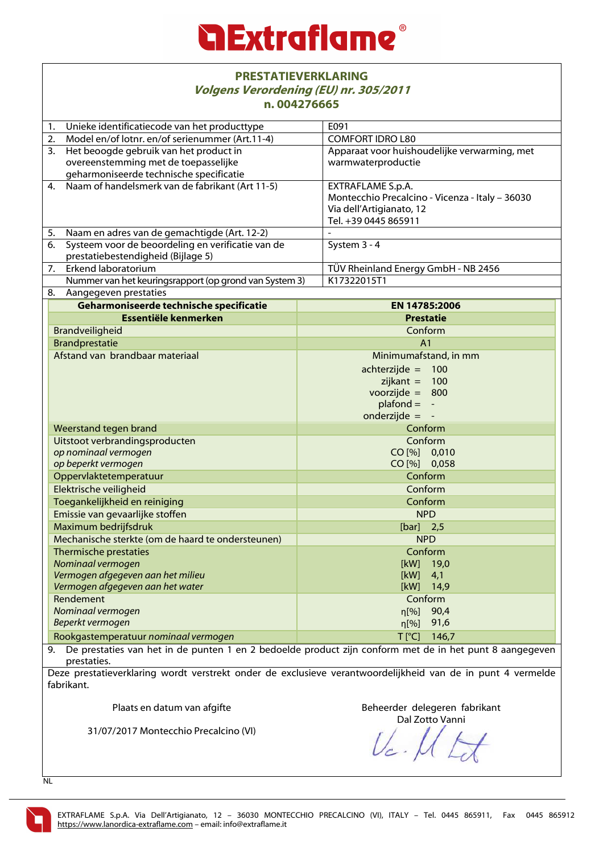### **Extraflame**

#### **PRESTATIEVERKLARING Volgens Verordening (EU) nr. 305/2011 n. 004276665**

| 1.                                   | Unieke identificatiecode van het producttype           |  | E091                                             |  |
|--------------------------------------|--------------------------------------------------------|--|--------------------------------------------------|--|
| 2.                                   | Model en/of lotnr. en/of serienummer (Art.11-4)        |  | <b>COMFORT IDRO L80</b>                          |  |
| 3.                                   | Het beoogde gebruik van het product in                 |  | Apparaat voor huishoudelijke verwarming, met     |  |
|                                      | overeenstemming met de toepasselijke                   |  | warmwaterproductie                               |  |
|                                      | geharmoniseerde technische specificatie                |  |                                                  |  |
| $\overline{4}$ .                     | Naam of handelsmerk van de fabrikant (Art 11-5)        |  | EXTRAFLAME S.p.A.                                |  |
|                                      |                                                        |  | Montecchio Precalcino - Vicenza - Italy - 36030  |  |
|                                      |                                                        |  | Via dell'Artigianato, 12<br>Tel. +39 0445 865911 |  |
| 5.                                   | Naam en adres van de gemachtigde (Art. 12-2)           |  |                                                  |  |
| 6.                                   | Systeem voor de beoordeling en verificatie van de      |  | System 3 - 4                                     |  |
|                                      | prestatiebestendigheid (Bijlage 5)                     |  |                                                  |  |
| 7.                                   | Erkend laboratorium                                    |  | TÜV Rheinland Energy GmbH - NB 2456              |  |
|                                      | Nummer van het keuringsrapport (op grond van System 3) |  | K17322015T1                                      |  |
| 8.                                   | Aangegeven prestaties                                  |  |                                                  |  |
|                                      | Geharmoniseerde technische specificatie                |  | EN 14785:2006                                    |  |
|                                      | Essentiële kenmerken                                   |  | <b>Prestatie</b>                                 |  |
|                                      | Brandveiligheid                                        |  | Conform                                          |  |
|                                      | <b>Brandprestatie</b>                                  |  | A <sub>1</sub>                                   |  |
|                                      | Afstand van brandbaar materiaal                        |  | Minimumafstand, in mm                            |  |
|                                      |                                                        |  | achterzijde = $100$                              |  |
|                                      |                                                        |  | $zijkant =$<br>100                               |  |
|                                      |                                                        |  | voorzijde = $800$                                |  |
|                                      |                                                        |  | $plafond = -$                                    |  |
|                                      |                                                        |  | onderzijde $=$                                   |  |
|                                      | Weerstand tegen brand                                  |  | Conform                                          |  |
|                                      | Uitstoot verbrandingsproducten                         |  | Conform                                          |  |
|                                      | op nominaal vermogen                                   |  | CO [%] 0,010                                     |  |
|                                      | op beperkt vermogen                                    |  | CO [%] 0,058                                     |  |
| Oppervlaktetemperatuur               |                                                        |  | Conform                                          |  |
| Elektrische veiligheid               |                                                        |  | Conform                                          |  |
| Toegankelijkheid en reiniging        |                                                        |  | Conform                                          |  |
|                                      | Emissie van gevaarlijke stoffen                        |  | <b>NPD</b>                                       |  |
|                                      | Maximum bedrijfsdruk                                   |  | $[bar]$ 2,5                                      |  |
|                                      | Mechanische sterkte (om de haard te ondersteunen)      |  | <b>NPD</b>                                       |  |
| Thermische prestaties                |                                                        |  | Conform                                          |  |
|                                      | Nominaal vermogen                                      |  | [kW] 19,0                                        |  |
|                                      | Vermogen afgegeven aan het milieu                      |  | [kW]<br>4,1                                      |  |
|                                      | Vermogen afgegeven aan het water                       |  | [kW]<br>14,9                                     |  |
|                                      | Rendement                                              |  | Conform                                          |  |
|                                      | Nominaal vermogen<br>Beperkt vermogen                  |  | 90,4<br>n[%]<br>91,6                             |  |
|                                      |                                                        |  | $\eta$ [%]                                       |  |
| Rookgastemperatuur nominaal vermogen |                                                        |  | $T[^{\circ}C]$<br>146,7                          |  |

9. De prestaties van het in de punten 1 en 2 bedoelde product zijn conform met de in het punt 8 aangegeven prestaties.

Deze prestatieverklaring wordt verstrekt onder de exclusieve verantwoordelijkheid van de in punt 4 vermelde fabrikant.

Plaats en datum van afgifte

Beheerder delegeren fabrikant Dal Zotto Vanni

31/07/2017 Montecchio Precalcino (VI)

 $U_c$ .

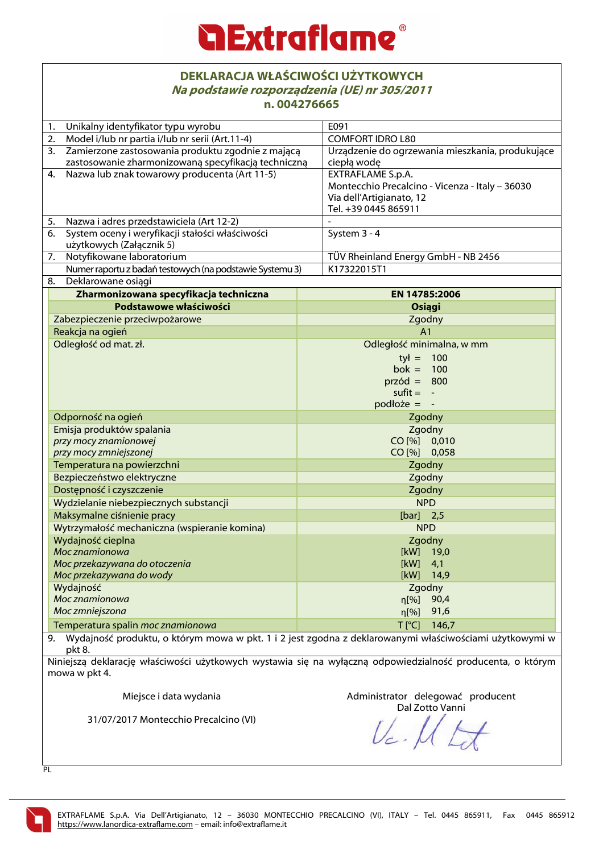## **Extraflame**

#### **DEKLARACJA WŁAŚCIWOŚCI UŻYTKOWYCH Na podstawie rozporządzenia (UE) nr 305/2011 n. 004276665**

| 11. UU447 UU0J                                                   |                                                                                                            |  |  |  |
|------------------------------------------------------------------|------------------------------------------------------------------------------------------------------------|--|--|--|
| Unikalny identyfikator typu wyrobu<br>1.                         | E091                                                                                                       |  |  |  |
| Model i/lub nr partia i/lub nr serii (Art.11-4)<br>2.            | <b>COMFORT IDRO L80</b>                                                                                    |  |  |  |
| Zamierzone zastosowania produktu zgodnie z mającą<br>3.          | Urządzenie do ogrzewania mieszkania, produkujące                                                           |  |  |  |
| zastosowanie zharmonizowaną specyfikacją techniczną              | ciepłą wodę                                                                                                |  |  |  |
| Nazwa lub znak towarowy producenta (Art 11-5)<br>4.              | <b>EXTRAFLAME S.p.A.</b>                                                                                   |  |  |  |
|                                                                  | Montecchio Precalcino - Vicenza - Italy - 36030                                                            |  |  |  |
|                                                                  | Via dell'Artigianato, 12                                                                                   |  |  |  |
|                                                                  | Tel. +39 0445 865911                                                                                       |  |  |  |
| Nazwa i adres przedstawiciela (Art 12-2)<br>5.                   |                                                                                                            |  |  |  |
| System oceny i weryfikacji stałości właściwości<br>6.            | System 3 - 4                                                                                               |  |  |  |
| użytkowych (Załącznik 5)                                         |                                                                                                            |  |  |  |
| Notyfikowane laboratorium<br>7.                                  | TÜV Rheinland Energy GmbH - NB 2456                                                                        |  |  |  |
| Numer raportu z badań testowych (na podstawie Systemu 3)         | K17322015T1                                                                                                |  |  |  |
| Deklarowane osiągi<br>8.                                         |                                                                                                            |  |  |  |
| Zharmonizowana specyfikacja techniczna                           | EN 14785:2006                                                                                              |  |  |  |
| Podstawowe właściwości                                           | Osiągi                                                                                                     |  |  |  |
| Zabezpieczenie przeciwpożarowe                                   | Zgodny                                                                                                     |  |  |  |
| Reakcja na ogień                                                 | A <sub>1</sub>                                                                                             |  |  |  |
| Odległość od mat. zł.                                            | Odległość minimalna, w mm                                                                                  |  |  |  |
|                                                                  | $tył = 100$                                                                                                |  |  |  |
|                                                                  | bok = $100$                                                                                                |  |  |  |
|                                                                  | $przód = 800$                                                                                              |  |  |  |
|                                                                  | $s$ ufit = $-$                                                                                             |  |  |  |
|                                                                  | $podlo\ddot{z}e = -$                                                                                       |  |  |  |
| Odporność na ogień                                               | Zgodny                                                                                                     |  |  |  |
| Emisja produktów spalania                                        | Zgodny                                                                                                     |  |  |  |
| przy mocy znamionowej                                            | CO [%] 0,010                                                                                               |  |  |  |
| przy mocy zmniejszonej                                           | CO [%] 0,058                                                                                               |  |  |  |
| Temperatura na powierzchni                                       | Zgodny                                                                                                     |  |  |  |
| Bezpieczeństwo elektryczne                                       | Zgodny                                                                                                     |  |  |  |
| Dostępność i czyszczenie                                         | Zgodny                                                                                                     |  |  |  |
| Wydzielanie niebezpiecznych substancji                           | <b>NPD</b>                                                                                                 |  |  |  |
| Maksymalne ciśnienie pracy                                       | [bar] $2,5$                                                                                                |  |  |  |
| Wytrzymałość mechaniczna (wspieranie komina)                     | <b>NPD</b>                                                                                                 |  |  |  |
| Wydajność cieplna                                                | Zgodny                                                                                                     |  |  |  |
| Moc znamionowa                                                   | [kW] 19,0                                                                                                  |  |  |  |
| Moc przekazywana do otoczenia                                    | [kW]<br>4,1                                                                                                |  |  |  |
| Moc przekazywana do wody                                         | [kW]<br>14,9                                                                                               |  |  |  |
| Wydajność                                                        | Zgodny                                                                                                     |  |  |  |
| Moc znamionowa                                                   | 90,4<br>n[%]                                                                                               |  |  |  |
| Moc zmniejszona                                                  | 91,6<br>$\eta$ [%]                                                                                         |  |  |  |
| Temperatura spalin moc znamionowa<br>T <sup>[°</sup> C]<br>146,7 |                                                                                                            |  |  |  |
| pkt 8.                                                           | 9. Wydajność produktu, o którym mowa w pkt. 1 i 2 jest zgodna z deklarowanymi właściwościami użytkowymi w  |  |  |  |
|                                                                  | Niniejszą deklaracje właściwości użytkowych wystawia się na wyłaczną odpowiedzialność producenta, o którym |  |  |  |

Niniejszą deklarację właściwości użytkowych wystawia się na wyłączną odpowiedzialność producenta, o którym mowa w pkt 4.

Miejsce i data wydania

Administrator delegować producent Dal Zotto Vanni

31/07/2017 Montecchio Precalcino (VI)

PL